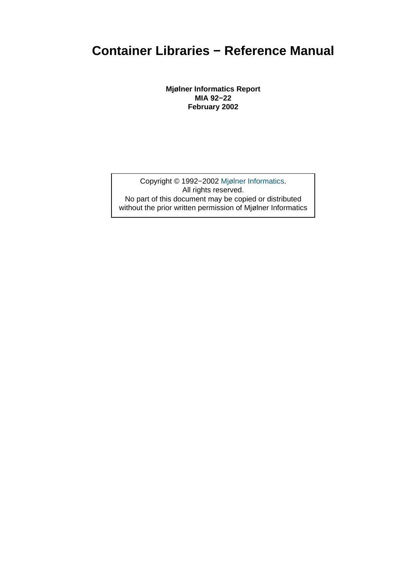**Mjølner Informatics Report MIA 92−22 February 2002**

Copyright © 1992−2002 Mjølner Informatics. All rights reserved. No part of this document may be copied or distributed without the prior written permis[sion of Mjølner Infor](http://www.mjolner.com)matics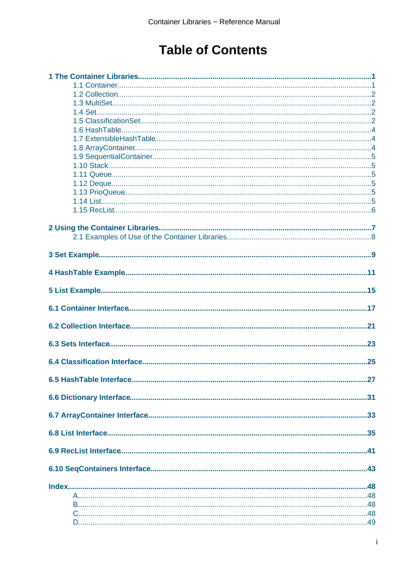# **Table of Contents**

| .25 |
|-----|
|     |
|     |
|     |
|     |
|     |
|     |
|     |
|     |
|     |
|     |
|     |
|     |
|     |
|     |
|     |
|     |
|     |
|     |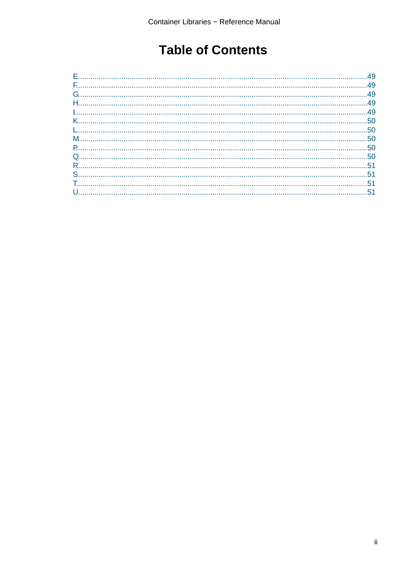# **Table of Contents**

| 49 |
|----|
|    |
|    |
|    |
|    |
|    |
|    |
|    |
|    |
|    |
|    |
|    |
|    |
| 51 |
|    |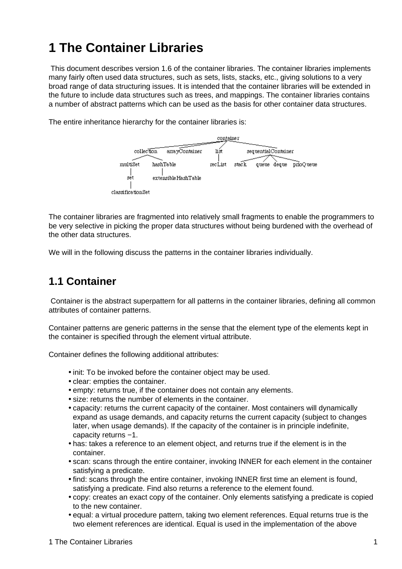# <span id="page-3-0"></span>**1 The Container Libraries**

 This document describes version 1.6 of the container libraries. The container libraries implements many fairly often used data structures, such as sets, lists, stacks, etc., giving solutions to a very broad range of data structuring issues. It is intended that the container libraries will be extended in the future to include data structures such as trees, and mappings. The container libraries contains a number of abstract patterns which can be used as the basis for other container data structures.

The entire inheritance hierarchy for the container libraries is:



The container libraries are fragmented into relatively small fragments to enable the programmers to be very selective in picking the proper data structures without being burdened with the overhead of the other data structures.

We will in the following discuss the patterns in the container libraries individually.

#### **1.1 Container**

 Container is the abstract superpattern for all patterns in the container libraries, defining all common attributes of container patterns.

Container patterns are generic patterns in the sense that the element type of the elements kept in the container is specified through the element virtual attribute.

Container defines the following additional attributes:

- init: To be invoked before the container object may be used.
- clear: empties the container.
- empty: returns true, if the container does not contain any elements.
- size: returns the number of elements in the container.
- capacity: returns the current capacity of the container. Most containers will dynamically expand as usage demands, and capacity returns the current capacity (subject to changes later, when usage demands). If the capacity of the container is in principle indefinite, capacity returns −1.
- has: takes a reference to an element object, and returns true if the element is in the container.
- scan: scans through the entire container, invoking INNER for each element in the container satisfying a predicate.
- find: scans through the entire container, invoking INNER first time an element is found, satisfying a predicate. Find also returns a reference to the element found.
- copy: creates an exact copy of the container. Only elements satisfying a predicate is copied to the new container.
- equal: a virtual procedure pattern, taking two element references. Equal returns true is the two element references are identical. Equal is used in the implementation of the above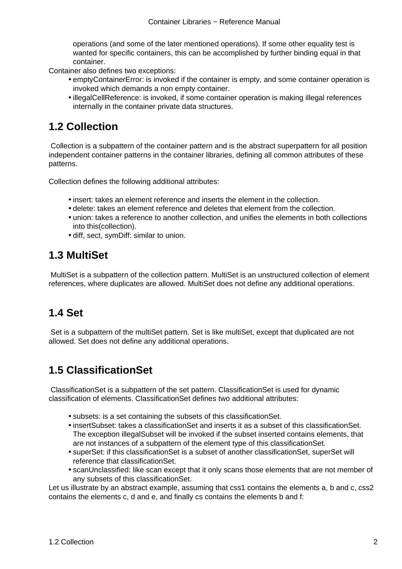operations (and some of the later mentioned operations). If some other equality test is wanted for specific containers, this can be accomplished by further binding equal in that container.

<span id="page-4-0"></span>Container also defines two exceptions:

- emptyContainerError: is invoked if the container is empty, and some container operation is invoked which demands a non empty container.
- illegalCellReference: is invoked, if some container operation is making illegal references internally in the container private data structures.

#### **1.2 Collection**

 Collection is a subpattern of the container pattern and is the abstract superpattern for all position independent container patterns in the container libraries, defining all common attributes of these patterns.

Collection defines the following additional attributes:

- insert: takes an element reference and inserts the element in the collection.
- delete: takes an element reference and deletes that element from the collection.
- union: takes a reference to another collection, and unifies the elements in both collections into this(collection).
- diff, sect, symDiff: similar to union.

#### **1.3 MultiSet**

 MultiSet is a subpattern of the collection pattern. MultiSet is an unstructured collection of element references, where duplicates are allowed. MultiSet does not define any additional operations.

### **1.4 Set**

 Set is a subpattern of the multiSet pattern. Set is like multiSet, except that duplicated are not allowed. Set does not define any additional operations.

### **1.5 ClassificationSet**

 ClassificationSet is a subpattern of the set pattern. ClassificationSet is used for dynamic classification of elements. ClassificationSet defines two additional attributes:

- subsets: is a set containing the subsets of this classificationSet.
- insertSubset: takes a classificationSet and inserts it as a subset of this classificationSet. The exception illegalSubset will be invoked if the subset inserted contains elements, that are not instances of a subpattern of the element type of this classificationSet.
- superSet: if this classificationSet is a subset of another classificationSet, superSet will reference that classificationSet.
- scanUnclassified: like scan except that it only scans those elements that are not member of any subsets of this classificationSet.

Let us illustrate by an abstract example, assuming that css1 contains the elements a, b and c, css2 contains the elements c, d and e, and finally cs contains the elements b and f: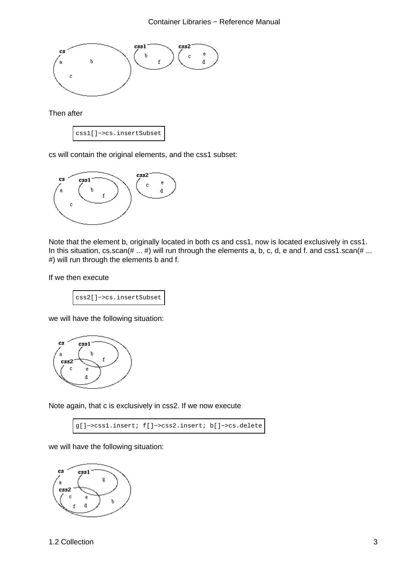

Then after



cs will contain the original elements, and the css1 subset:



Note that the element b, originally located in both cs and css1, now is located exclusively in css1. In this situation, cs.scan(# ... #) will run through the elements a, b, c, d, e and f. and css1.scan(# ... #) will run through the elements b and f.

If we then execute

css2[]−>cs.insertSubset

we will have the following situation:



Note again, that c is exclusively in css2. If we now execute

```
g[]−>css1.insert; f[]−>css2.insert; b[]−>cs.delete
```
we will have the following situation:

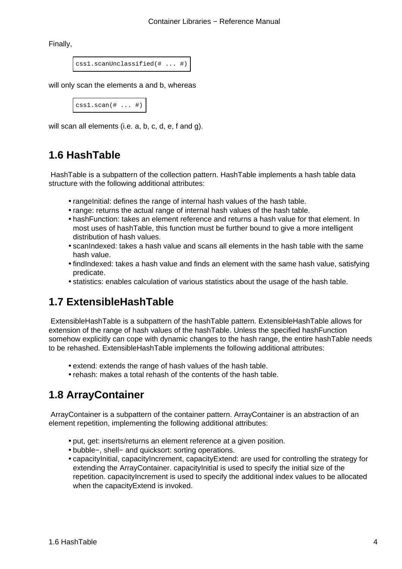<span id="page-6-0"></span>Finally,

css1.scanUnclassified(# ... #)

will only scan the elements a and b, whereas

```
cssl.scan(+ ... +)
```
will scan all elements (i.e. a, b, c, d, e, f and g).

### **1.6 HashTable**

 HashTable is a subpattern of the collection pattern. HashTable implements a hash table data structure with the following additional attributes:

- rangelnitial: defines the range of internal hash values of the hash table.
- range: returns the actual range of internal hash values of the hash table.
- hashFunction: takes an element reference and returns a hash value for that element. In most uses of hashTable, this function must be further bound to give a more intelligent distribution of hash values.
- scanIndexed: takes a hash value and scans all elements in the hash table with the same hash value.
- findIndexed: takes a hash value and finds an element with the same hash value, satisfying predicate.
- statistics: enables calculation of various statistics about the usage of the hash table.

### **1.7 ExtensibleHashTable**

 ExtensibleHashTable is a subpattern of the hashTable pattern. ExtensibleHashTable allows for extension of the range of hash values of the hashTable. Unless the specified hashFunction somehow explicitly can cope with dynamic changes to the hash range, the entire hashTable needs to be rehashed. ExtensibleHashTable implements the following additional attributes:

- extend: extends the range of hash values of the hash table.
- rehash: makes a total rehash of the contents of the hash table.

## **1.8 ArrayContainer**

 ArrayContainer is a subpattern of the container pattern. ArrayContainer is an abstraction of an element repetition, implementing the following additional attributes:

- put, get: inserts/returns an element reference at a given position.
- bubble−, shell− and quicksort: sorting operations.
- capacityInitial, capacityIncrement, capacityExtend: are used for controlling the strategy for extending the ArrayContainer. capacityInitial is used to specify the initial size of the repetition. capacityIncrement is used to specify the additional index values to be allocated when the capacityExtend is invoked.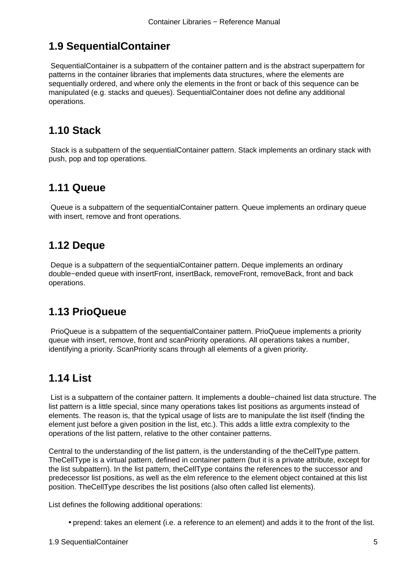### <span id="page-7-0"></span>**1.9 SequentialContainer**

 SequentialContainer is a subpattern of the container pattern and is the abstract superpattern for patterns in the container libraries that implements data structures, where the elements are sequentially ordered, and where only the elements in the front or back of this sequence can be manipulated (e.g. stacks and queues). SequentialContainer does not define any additional operations.

### **1.10 Stack**

 Stack is a subpattern of the sequentialContainer pattern. Stack implements an ordinary stack with push, pop and top operations.

### **1.11 Queue**

 Queue is a subpattern of the sequentialContainer pattern. Queue implements an ordinary queue with insert, remove and front operations.

#### **1.12 Deque**

 Deque is a subpattern of the sequentialContainer pattern. Deque implements an ordinary double−ended queue with insertFront, insertBack, removeFront, removeBack, front and back operations.

### **1.13 PrioQueue**

 PrioQueue is a subpattern of the sequentialContainer pattern. PrioQueue implements a priority queue with insert, remove, front and scanPriority operations. All operations takes a number, identifying a priority. ScanPriority scans through all elements of a given priority.

## **1.14 List**

 List is a subpattern of the container pattern. It implements a double−chained list data structure. The list pattern is a little special, since many operations takes list positions as arguments instead of elements. The reason is, that the typical usage of lists are to manipulate the list itself (finding the element just before a given position in the list, etc.). This adds a little extra complexity to the operations of the list pattern, relative to the other container patterns.

Central to the understanding of the list pattern, is the understanding of the theCellType pattern. TheCellType is a virtual pattern, defined in container pattern (but it is a private attribute, except for the list subpattern). In the list pattern, theCellType contains the references to the successor and predecessor list positions, as well as the elm reference to the element object contained at this list position. TheCellType describes the list positions (also often called list elements).

List defines the following additional operations:

• prepend: takes an element (i.e. a reference to an element) and adds it to the front of the list.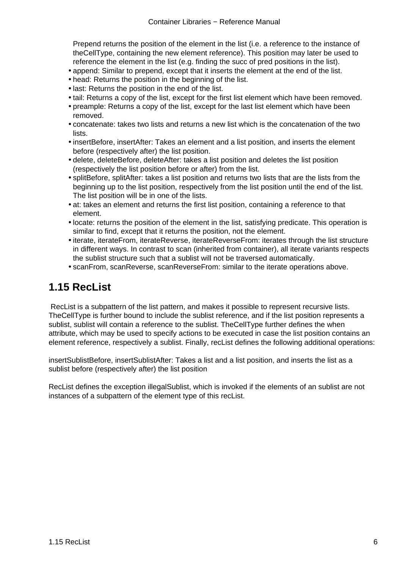<span id="page-8-0"></span>Prepend returns the position of the element in the list (i.e. a reference to the instance of theCellType, containing the new element reference). This position may later be used to reference the element in the list (e.g. finding the succ of pred positions in the list).

- append: Similar to prepend, except that it inserts the element at the end of the list.
- head: Returns the position in the beginning of the list.
- last: Returns the position in the end of the list.
- tail: Returns a copy of the list, except for the first list element which have been removed.
- preample: Returns a copy of the list, except for the last list element which have been removed.
- concatenate: takes two lists and returns a new list which is the concatenation of the two lists.
- insertBefore, insertAfter: Takes an element and a list position, and inserts the element before (respectively after) the list position.
- delete, deleteBefore, deleteAfter: takes a list position and deletes the list position (respectively the list position before or after) from the list.
- splitBefore, splitAfter: takes a list position and returns two lists that are the lists from the beginning up to the list position, respectively from the list position until the end of the list. The list position will be in one of the lists.
- at: takes an element and returns the first list position, containing a reference to that element.
- locate: returns the position of the element in the list, satisfying predicate. This operation is similar to find, except that it returns the position, not the element.
- iterate, iterateFrom, iterateReverse, iterateReverseFrom: iterates through the list structure in different ways. In contrast to scan (inherited from container), all iterate variants respects the sublist structure such that a sublist will not be traversed automatically.
- scanFrom, scanReverse, scanReverseFrom: similar to the iterate operations above.

#### **1.15 RecList**

 RecList is a subpattern of the list pattern, and makes it possible to represent recursive lists. TheCellType is further bound to include the sublist reference, and if the list position represents a sublist, sublist will contain a reference to the sublist. TheCellType further defines the when attribute, which may be used to specify actions to be executed in case the list position contains an element reference, respectively a sublist. Finally, recList defines the following additional operations:

insertSublistBefore, insertSublistAfter: Takes a list and a list position, and inserts the list as a sublist before (respectively after) the list position

RecList defines the exception illegalSublist, which is invoked if the elements of an sublist are not instances of a subpattern of the element type of this recList.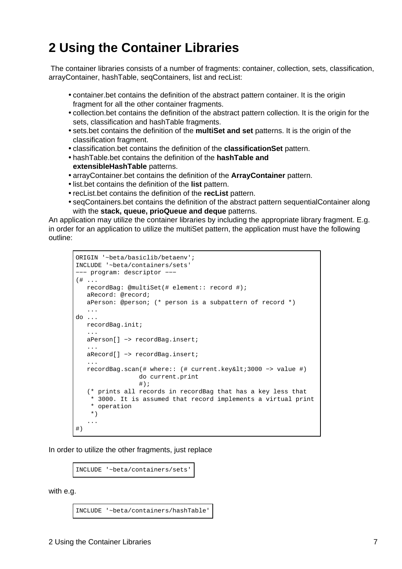# <span id="page-9-0"></span>**2 Using the Container Libraries**

 The container libraries consists of a number of fragments: container, collection, sets, classification, arrayContainer, hashTable, seqContainers, list and recList:

- container.bet contains the definition of the abstract pattern container. It is the origin fragment for all the other container fragments.
- collection.bet contains the definition of the abstract pattern collection. It is the origin for the sets, classification and hashTable fragments.
- sets.bet contains the definition of the **multiSet and set** patterns. It is the origin of the classification fragment.
- classification.bet contains the definition of the **classificationSet** pattern.
- hashTable.bet contains the definition of the **hashTable and extensibleHashTable** patterns.
- arrayContainer.bet contains the definition of the **ArrayContainer** pattern.
- list.bet contains the definition of the **list** pattern.
- recList.bet contains the definition of the **recList** pattern.
- seqContainers.bet contains the definition of the abstract pattern sequentialContainer along with the **stack, queue, prioQueue and deque** patterns.

An application may utilize the container libraries by including the appropriate library fragment. E.g. in order for an application to utilize the multiSet pattern, the application must have the following outline:

```
ORIGIN '~beta/basiclib/betaenv';
INCLUDE '~beta/containers/sets'
−−− program: descriptor −−−
(# ...
   recordBag: @multiSet(# element:: record #);
   aRecord: @record;
   aPerson: @person; (* person is a subpattern of record *)
    ...
do ...
   recordBag.init;
 ...
   aPerson[] −> recordBag.insert;
 ...
    aRecord[] −> recordBag.insert;
 ...
    recordBag.scan(# where:: (# current.key<3000 −> value #)
                  do current.print
                 #);
    (* prints all records in recordBag that has a key less that 
     * 3000. It is assumed that record implements a virtual print 
     * operation
     *)
    ...
#)
```
In order to utilize the other fragments, just replace

INCLUDE '~beta/containers/sets'

with e.g.

INCLUDE '~beta/containers/hashTable'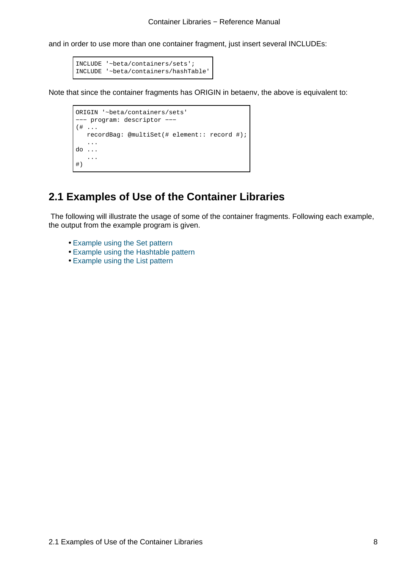<span id="page-10-0"></span>and in order to use more than one container fragment, just insert several INCLUDEs:

```
INCLUDE '~beta/containers/sets';
INCLUDE '~beta/containers/hashTable'
```
Note that since the container fragments has ORIGIN in betaenv, the above is equivalent to:

```
ORIGIN '~beta/containers/sets'
−−− program: descriptor −−−
(# ...
   recordBag: @multiSet(# element:: record #);
    ...
do ...
    ...
#)
```
#### **2.1 Examples of Use of the Container Libraries**

 The following will illustrate the usage of some of the container fragments. Following each example, the output from the example program is given.

- Example using the Set pattern
- Example using the Hashtable pattern
- Example using the List pattern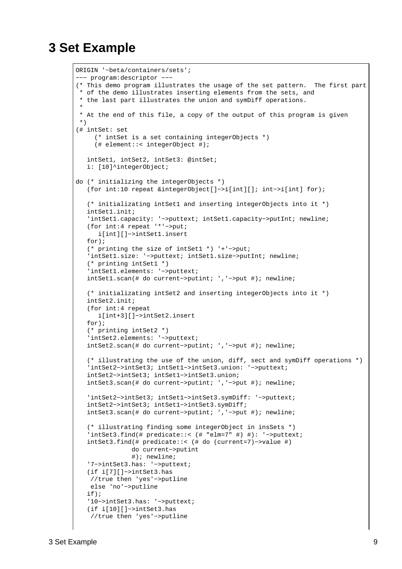## <span id="page-11-0"></span>**3 Set Example**

```
ORIGIN '~beta/containers/sets';
−−− program:descriptor −−−
(* This demo program illustrates the usage of the set pattern. The first part
  * of the demo illustrates inserting elements from the sets, and
 * the last part illustrates the union and symDiff operations.
 * 
 * At the end of this file, a copy of the output of this program is given
 *)
(# intSet: set
     (* intSet is a set containing integerObjects *)
      (# element::< integerObject #);
    intSet1, intSet2, intSet3: @intSet;
    i: [10]^integerObject;
do (* initializing the integerObjects *)
    (for int:10 repeat &integerObject[]−>i[int][]; int−>i[int] for);
    (* initializating intSet1 and inserting integerObjects into it *)
    intSet1.init;
    'intSet1.capacity: '−>puttext; intSet1.capacity−>putInt; newline;
    (for int:4 repeat '*'−>put;
       i[int][]−>intSet1.insert
   for);
    (* printing the size of intSet1 *) '+'−>put;
    'intSet1.size: '−>puttext; intSet1.size−>putInt; newline;
    (* printing intSet1 *)
    'intSet1.elements: '−>puttext;
    intSet1.scan(# do current−>putint; ','−>put #); newline;
    (* initializating intSet2 and inserting integerObjects into it *)
    intSet2.init;
    (for int:4 repeat 
       i[int+3][]−>intSet2.insert
    for);
    (* printing intSet2 *)
    'intSet2.elements: '−>puttext;
    intSet2.scan(# do current−>putint; ','−>put #); newline;
    (* illustrating the use of the union, diff, sect and symDiff operations *)
    'intSet2−>intSet3; intSet1−>intSet3.union: '−>puttext;
    intSet2−>intSet3; intSet1−>intSet3.union;
    intSet3.scan(# do current−>putint; ','−>put #); newline;
    'intSet2−>intSet3; intSet1−>intSet3.symDiff: '−>puttext;
    intSet2−>intSet3; intSet1−>intSet3.symDiff;
    intSet3.scan(# do current−>putint; ','−>put #); newline;
    (* illustrating finding some integerObject in insSets *)
    'intSet3.find(# predicate::< (# "elm=7" #) #): '−>puttext;
    intSet3.find(# predicate::< (# do (current=7)−>value #)
                do current−>putint
                #); newline;
    '7−>intSet3.has: '−>puttext;
    (if i[7][]−>intSet3.has
    //true then 'yes'−>putline
    else 'no'−>putline
    if);
    '10−>intSet3.has: '−>puttext;
    (if i[10][]−>intSet3.has
     //true then 'yes'−>putline
```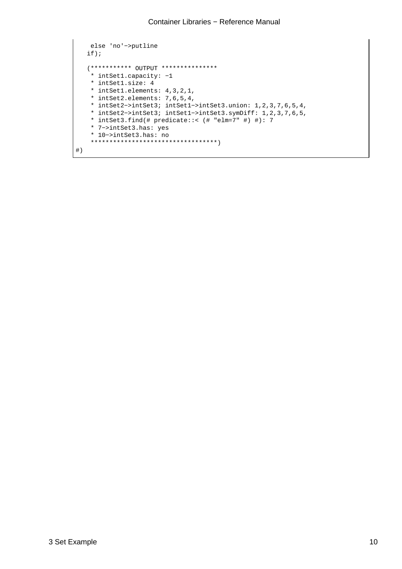```
 else 'no'−>putline
    if);
    (*********** OUTPUT ***************
     * intSet1.capacity: −1
    * intSet1.size: 4
    * intSet1.elements: 4,3,2,1,
     * intSet2.elements: 7,6,5,4,
     * intSet2−>intSet3; intSet1−>intSet3.union: 1,2,3,7,6,5,4,
     * intSet2−>intSet3; intSet1−>intSet3.symDiff: 1,2,3,7,6,5,
     * intSet3.find(# predicate::< (# "elm=7" #) #): 7
     * 7−>intSet3.has: yes
     * 10−>intSet3.has: no
     **********************************)
#)
```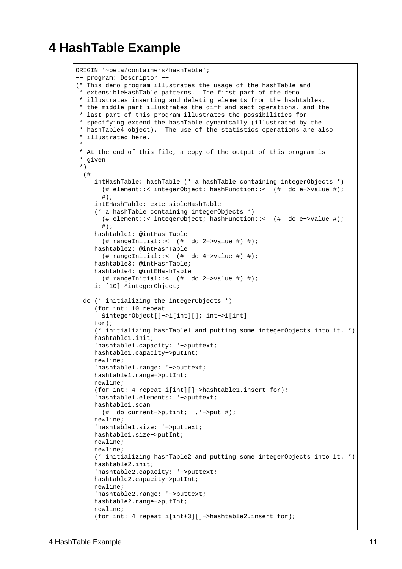## <span id="page-13-0"></span>**4 HashTable Example**

```
ORIGIN '~beta/containers/hashTable';
−− program: Descriptor −−
(* This demo program illustrates the usage of the hashTable and
 * extensibleHashTable patterns. The first part of the demo
 * illustrates inserting and deleting elements from the hashtables,
 * the middle part illustrates the diff and sect operations, and the
 * last part of this program illustrates the possibilities for
 * specifying extend the hashTable dynamically (illustrated by the
 * hashTable4 object). The use of the statistics operations are also
 * illustrated here.
 * 
 * At the end of this file, a copy of the output of this program is
 * given
 *)
  (#
      intHashTable: hashTable (* a hashTable containing integerObjects *)
        (# element::< integerObject; hashFunction::< (# do e−>value #); 
        #);
      intEHashTable: extensibleHashTable
      (* a hashTable containing integerObjects *)
        (# element::< integerObject; hashFunction::< (# do e−>value #); 
        #);
     hashtable1: @intHashTable
        (# rangeInitial::< (# do 2−>value #) #);
     hashtable2: @intHashTable
        (# rangeInitial::< (# do 4−>value #) #);
     hashtable3: @intHashTable;
     hashtable4: @intEHashTable
       (# rangeInitial::< (# do 2−>value #) #);
      i: [10] ^integerObject;
  do (* initializing the integerObjects *)
     (for int: 10 repeat
        &integerObject[]−>i[int][]; int−>i[int]
     for);
      (* initializing hashTable1 and putting some integerObjects into it. *)
     hashtable1.init;
      'hashtable1.capacity: '−>puttext;
     hashtable1.capacity−>putInt;
     newline;
      'hashtable1.range: '−>puttext;
     hashtable1.range−>putInt;
     newline;
      (for int: 4 repeat i[int][]−>hashtable1.insert for);
      'hashtable1.elements: '−>puttext;
     hashtable1.scan
        (# do current−>putint; ','−>put #);
     newline;
      'hashtable1.size: '−>puttext;
     hashtable1.size−>putInt;
     newline;
     newline;
      (* initializing hashTable2 and putting some integerObjects into it. *)
     hashtable2.init;
      'hashtable2.capacity: '−>puttext;
     hashtable2.capacity−>putInt;
     newline;
      'hashtable2.range: '−>puttext;
     hashtable2.range−>putInt;
     newline;
      (for int: 4 repeat i[int+3][]−>hashtable2.insert for);
```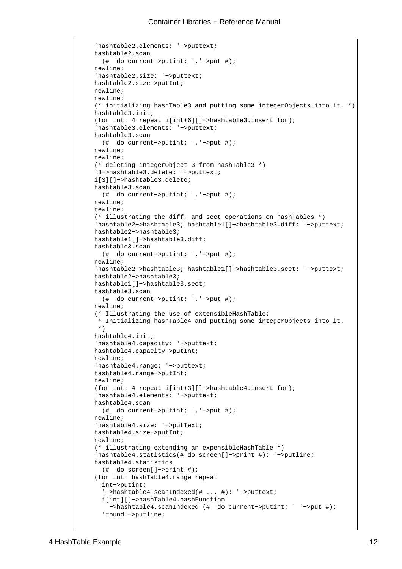```
 'hashtable2.elements: '−>puttext;
 hashtable2.scan
   (# do current−>putint; ','−>put #);
 newline;
 'hashtable2.size: '−>puttext;
 hashtable2.size−>putInt;
 newline;
 newline;
 (* initializing hashTable3 and putting some integerObjects into it. *)
 hashtable3.init;
 (for int: 4 repeat i[int+6][]−>hashtable3.insert for);
 'hashtable3.elements: '−>puttext;
 hashtable3.scan
   (# do current−>putint; ','−>put #);
 newline;
 newline;
 (* deleting integerObject 3 from hashTable3 *)
 '3−>hashtable3.delete: '−>puttext;
 i[3][]−>hashtable3.delete;
 hashtable3.scan
   (# do current−>putint; ','−>put #);
 newline;
 newline;
 (* illustrating the diff, and sect operations on hashTables *)
 'hashtable2−>hashtable3; hashtable1[]−>hashtable3.diff: '−>puttext;
 hashtable2−>hashtable3;
 hashtable1[]−>hashtable3.diff;
 hashtable3.scan
   (# do current−>putint; ','−>put #);
 newline;
 'hashtable2−>hashtable3; hashtable1[]−>hashtable3.sect: '−>puttext;
 hashtable2−>hashtable3;
 hashtable1[]−>hashtable3.sect;
 hashtable3.scan
   (# do current−>putint; ','−>put #);
 newline;
 (* Illustrating the use of extensibleHashTable: 
  * Initializing hashTable4 and putting some integerObjects into it.
  *)
 hashtable4.init;
 'hashtable4.capacity: '−>puttext;
 hashtable4.capacity−>putInt;
 newline;
 'hashtable4.range: '−>puttext;
 hashtable4.range−>putInt;
 newline;
 (for int: 4 repeat i[int+3][]−>hashtable4.insert for);
 'hashtable4.elements: '−>puttext;
 hashtable4.scan
   (# do current−>putint; ','−>put #);
 newline;
 'hashtable4.size: '−>putText;
 hashtable4.size−>putInt;
 newline;
 (* illustrating extending an expensibleHashTable *)
 'hashtable4.statistics(# do screen[]−>print #): '−>putline;
 hashtable4.statistics
   (# do screen[]−>print #);
 (for int: hashTable4.range repeat
   int−>putint;
   '−>hashtable4.scanIndexed(# ... #): '−>puttext;
   i[int][]−>hashTable4.hashFunction
     −>hashtable4.scanIndexed (# do current−>putint; ' '−>put #);
   'found'−>putline;
```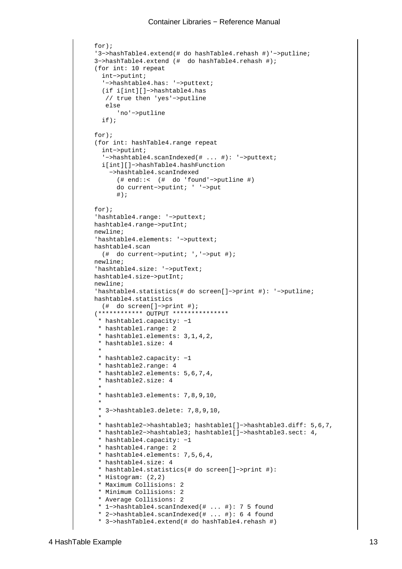```
 for);
      '3−>hashTable4.extend(# do hashTable4.rehash #)'−>putline;
     3−>hashTable4.extend (# do hashTable4.rehash #);
     (for int: 10 repeat
       int−>putint;
        '−>hashtable4.has: '−>puttext;
        (if i[int][]−>hashtable4.has
         // true then 'yes'−>putline
        else
            'no'−>putline
        if);
    for);
     (for int: hashTable4.range repeat
       int−>putint;
        '−>hashtable4.scanIndexed(# ... #): '−>puttext;
       i[int][]−>hashTable4.hashFunction
          −>hashtable4.scanIndexed
            (# end::< (# do 'found'−>putline #)
            do current−>putint; ' '−>put
           \#);
     for);
      'hashtable4.range: '−>puttext;
     hashtable4.range−>putInt;
     newline;
      'hashtable4.elements: '−>puttext;
     hashtable4.scan
        (# do current−>putint; ','−>put #);
     newline;
      'hashtable4.size: '−>putText;
     hashtable4.size−>putInt;
     newline;
      'hashtable4.statistics(# do screen[]−>print #): '−>putline;
     hashtable4.statistics
       (# do screen[]−>print #);
      (************ OUTPUT ***************
      * hashtable1.capacity: −1
       * hashtable1.range: 2
       * hashtable1.elements: 3,1,4,2,
       * hashtable1.size: 4
\star * hashtable2.capacity: −1
       * hashtable2.range: 4
       * hashtable2.elements: 5,6,7,4,
       * hashtable2.size: 4
\star * hashtable3.elements: 7,8,9,10,
\star * 3−>hashtable3.delete: 7,8,9,10,
\star * hashtable2−>hashtable3; hashtable1[]−>hashtable3.diff: 5,6,7,
       * hashtable2−>hashtable3; hashtable1[]−>hashtable3.sect: 4,
       * hashtable4.capacity: −1
       * hashtable4.range: 2
       * hashtable4.elements: 7,5,6,4,
       * hashtable4.size: 4
       * hashtable4.statistics(# do screen[]−>print #):
       * Histogram: (2,2)
       * Maximum Collisions: 2
       * Minimum Collisions: 2
       * Average Collisions: 2
       * 1−>hashtable4.scanIndexed(# ... #): 7 5 found
       * 2−>hashtable4.scanIndexed(# ... #): 6 4 found
       * 3−>hashTable4.extend(# do hashTable4.rehash #)
```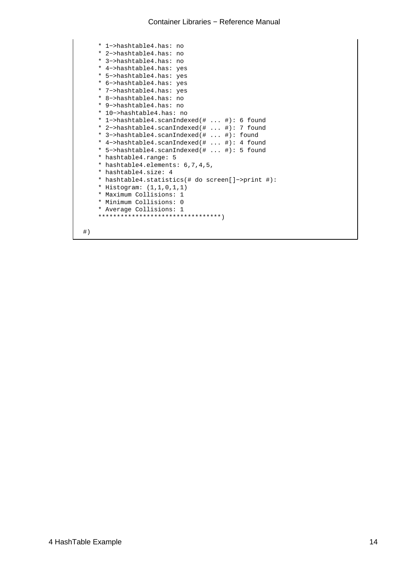```
 * 1−>hashtable4.has: no
 * 2−>hashtable4.has: no
 * 3−>hashtable4.has: no
 * 4−>hashtable4.has: yes
 * 5−>hashtable4.has: yes
 * 6−>hashtable4.has: yes
 * 7−>hashtable4.has: yes
 * 8−>hashtable4.has: no
 * 9−>hashtable4.has: no
 * 10−>hashtable4.has: no
 * 1−>hashtable4.scanIndexed(# ... #): 6 found
 * 2−>hashtable4.scanIndexed(# ... #): 7 found
 * 3−>hashtable4.scanIndexed(# ... #): found
 * 4−>hashtable4.scanIndexed(# ... #): 4 found
 * 5−>hashtable4.scanIndexed(# ... #): 5 found
 * hashtable4.range: 5
 * hashtable4.elements: 6,7,4,5,
 * hashtable4.size: 4
 * hashtable4.statistics(# do screen[]−>print #):
 * Histogram: (1,1,0,1,1)
 * Maximum Collisions: 1
 * Minimum Collisions: 0
 * Average Collisions: 1
 *********************************)
```
 $\#$  )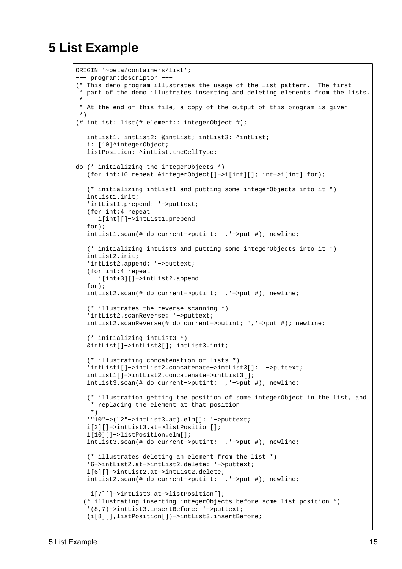## <span id="page-17-0"></span>**5 List Example**

```
ORIGIN '~beta/containers/list'; 
−−− program:descriptor −−−
(* This demo program illustrates the usage of the list pattern. The first
  * part of the demo illustrates inserting and deleting elements from the lists.
 * 
 * At the end of this file, a copy of the output of this program is given
 *)
(# intList: list(# element:: integerObject #);
   intList1, intList2: @intList; intList3: ^intList;
   i: [10]^integerObject;
    listPosition: ^intList.theCellType;
do (* initializing the integerObjects *)
    (for int:10 repeat &integerObject[]−>i[int][]; int−>i[int] for);
    (* initializing intList1 and putting some integerObjects into it *)
    intList1.init;
    'intList1.prepend: '−>puttext;
    (for int:4 repeat
      i[int][]−>intList1.prepend
    for);
    intList1.scan(# do current−>putint; ','−>put #); newline;
    (* initializing intList3 and putting some integerObjects into it *)
    intList2.init;
    'intList2.append: '−>puttext;
    (for int:4 repeat 
       i[int+3][]−>intList2.append
    for);
    intList2.scan(# do current−>putint; ','−>put #); newline;
    (* illustrates the reverse scanning *)
    'intList2.scanReverse: '−>puttext;
    intList2.scanReverse(# do current−>putint; ','−>put #); newline;
    (* initializing intList3 *)
    &intList[]−>intList3[]; intList3.init;
    (* illustrating concatenation of lists *)
    'intList1[]−>intList2.concatenate−>intList3[]: '−>puttext;
    intList1[]−>intList2.concatenate−>intList3[];
    intList3.scan(# do current−>putint; ','−>put #); newline;
    (* illustration getting the position of some integerObject in the list, and
    * replacing the element at that position
    *)
    '"10"−>("2"−>intList3.at).elm[]: '−>puttext;
    i[2][]−>intList3.at−>listPosition[];
    i[10][]−>listPosition.elm[];
    intList3.scan(# do current−>putint; ','−>put #); newline;
    (* illustrates deleting an element from the list *)
    '6−>intList2.at−>intList2.delete: '−>puttext;
    i[6][]−>intList2.at−>intList2.delete;
    intList2.scan(# do current−>putint; ','−>put #); newline;
    i[7][]−>intList3.at−>listPosition[];
   (* illustrating inserting integerObjects before some list position *)
    '(8,7)−>intList3.insertBefore: '−>puttext; 
    (i[8][],listPosition[])−>intList3.insertBefore;
```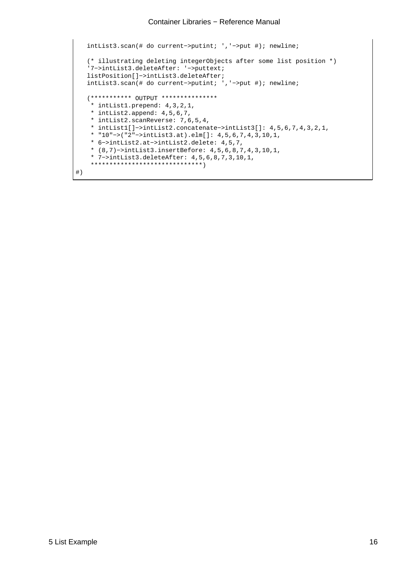```
 intList3.scan(# do current−>putint; ','−>put #); newline;
    (* illustrating deleting integerObjects after some list position *)
    '7−>intList3.deleteAfter: '−>puttext; 
   listPosition[]−>intList3.deleteAfter;
    intList3.scan(# do current−>putint; ','−>put #); newline;
    (*********** OUTPUT ***************
     * intList1.prepend: 4,3,2,1,
    * intList2.append: 4,5,6,7,
     * intList2.scanReverse: 7,6,5,4,
     * intList1[]−>intList2.concatenate−>intList3[]: 4,5,6,7,4,3,2,1,
     * "10"−>("2"−>intList3.at).elm[]: 4,5,6,7,4,3,10,1,
     * 6−>intList2.at−>intList2.delete: 4,5,7,
     * (8,7)−>intList3.insertBefore: 4,5,6,8,7,4,3,10,1,
     * 7−>intList3.deleteAfter: 4,5,6,8,7,3,10,1,
     ******************************)
#)
```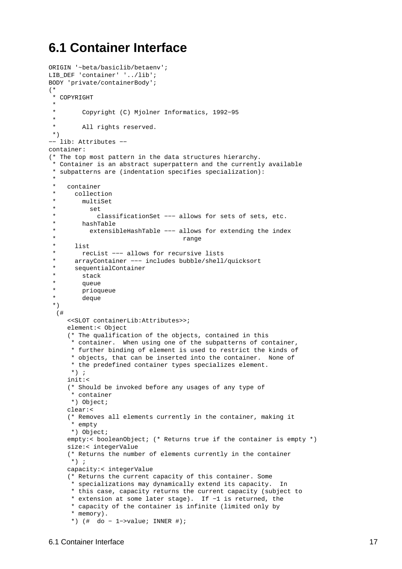## <span id="page-19-0"></span>**6.1 Container Interface**

```
ORIGIN '~beta/basiclib/betaenv';
LIB_DEF 'container' '../lib';
BODY 'private/containerBody';
(*
  * COPYRIGHT
 * 
        Copyright (C) Mjolner Informatics, 1992-95
 * 
  * All rights reserved.
 *)
−− lib: Attributes −−
container:
(* The top most pattern in the data structures hierarchy.
  * Container is an abstract superpattern and the currently available
 * subpatterns are (indentation specifies specialization): 
 * 
  * container
  * collection
        multiSet
  * set
  * classificationSet −−− allows for sets of sets, etc.
  * hashTable
  * extensibleHashTable −−− allows for extending the index
  * range
  * list
  * recList −−− allows for recursive lists
      arrayContainer --- includes bubble/shell/quicksort
  * sequentialContainer
  * stack
  * queue
  * prioqueue
  * deque
  *)
   (#
     <<SLOT containerLib:Attributes>>;
    element:< Object
     (* The qualification of the objects, contained in this
       * container. When using one of the subpatterns of container,
      * further binding of element is used to restrict the kinds of
      * objects, that can be inserted into the container. None of
      * the predefined container types specializes element.
     *) ;
    init:<
      (* Should be invoked before any usages of any type of
       * container
      *) Object;
    clear:<
      (* Removes all elements currently in the container, making it
       * empty
      *) Object;
    empty:< booleanObject; (* Returns true if the container is empty *)
    size:< integerValue
      (* Returns the number of elements currently in the container
      *) ;
    capacity:< integerValue
      (* Returns the current capacity of this container. Some
       * specializations may dynamically extend its capacity. In
      * this case, capacity returns the current capacity (subject to
       * extension at some later stage). If −1 is returned, the
       * capacity of the container is infinite (limited only by
       * memory).
       *) (# do − 1−>value; INNER #);
```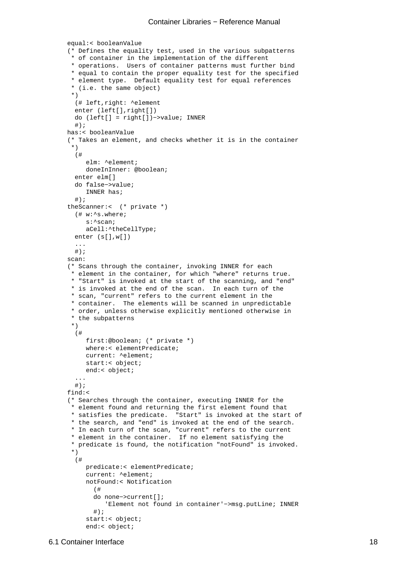```
equal:< booleanValue
 (* Defines the equality test, used in the various subpatterns
  * of container in the implementation of the different
  * operations. Users of container patterns must further bind
  * equal to contain the proper equality test for the specified
  * element type. Default equality test for equal references
  * (i.e. the same object)
  *)
   (# left,right: ^element
   enter (left[],right[])
  do (left[] = right[])−>value; INNER
  #);
has:< booleanValue
 (* Takes an element, and checks whether it is in the container
  *)
   (#
      elm: ^element;
      doneInInner: @boolean;
   enter elm[]
  do false−>value;
      INNER has;
  #);
theScanner:< (* private *)
   (# w:^s.where;
      s:^scan;
      aCell:^theCellType;
   enter (s[],w[])
   ...
  #);
scan:
 (* Scans through the container, invoking INNER for each
  * element in the container, for which "where" returns true.
  * "Start" is invoked at the start of the scanning, and "end"
  * is invoked at the end of the scan. In each turn of the
  * scan, "current" refers to the current element in the
  * container. The elements will be scanned in unpredictable
  * order, unless otherwise explicitly mentioned otherwise in
  * the subpatterns
  *)
   (# 
      first:@boolean; (* private *)
      where:< elementPredicate;
      current: ^element;
      start:< object;
      end:< object;
   ...
  #);
find:<
 (* Searches through the container, executing INNER for the
  * element found and returning the first element found that
  * satisfies the predicate. "Start" is invoked at the start of
  * the search, and "end" is invoked at the end of the search.
  * In each turn of the scan, "current" refers to the current
  * element in the container. If no element satisfying the
  * predicate is found, the notification "notFound" is invoked.
  *)
   (#
      predicate:< elementPredicate;
      current: ^element;
      notFound:< Notification
        (# 
        do none−>current[];
           'Element not found in container'−>msg.putLine; INNER
       #);
      start:< object;
      end:< object;
```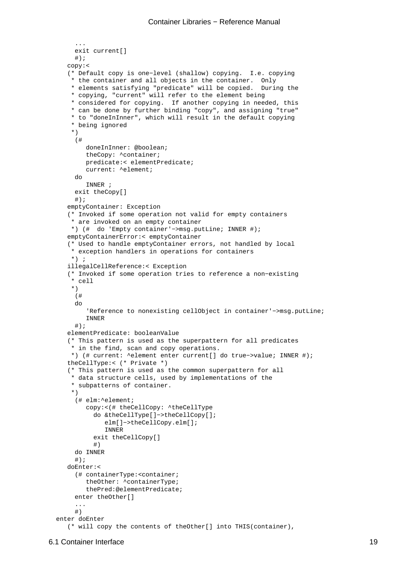```
 exit current[]
     \#);
   copy:<
    (* Default copy is one−level (shallow) copying. I.e. copying
     * the container and all objects in the container. Only
     * elements satisfying "predicate" will be copied. During the
     * copying, "current" will refer to the element being
     * considered for copying. If another copying in needed, this
     * can be done by further binding "copy", and assigning "true"
     * to "doneInInner", which will result in the default copying
     * being ignored
     *)
      (#
         doneInInner: @boolean;
         theCopy: ^container;
         predicate:< elementPredicate;
         current: ^element;
     do
         INNER ;
      exit theCopy[]
     \#);
   emptyContainer: Exception
    (* Invoked if some operation not valid for empty containers
     * are invoked on an empty container
     *) (# do 'Empty container'−>msg.putLine; INNER #);
   emptyContainerError:< emptyContainer
    (* Used to handle emptyContainer errors, not handled by local
     * exception handlers in operations for containers
   * ) \cdot ;
   illegalCellReference:< Exception
    (* Invoked if some operation tries to reference a non−existing
     * cell
     *)
      (# 
     do
         'Reference to nonexisting cellObject in container'−>msg.putLine;
         INNER
     #);
   elementPredicate: booleanValue
    (* This pattern is used as the superpattern for all predicates
     * in the find, scan and copy operations.
     *) (# current: ^element enter current[] do true−>value; INNER #);
   theCellType:< (* Private *)
    (* This pattern is used as the common superpattern for all
     * data structure cells, used by implementations of the
     * subpatterns of container.
     *)
      (# elm:^element;
         copy:<(# theCellCopy: ^theCellType
           do &theCellType[]−>theCellCopy[]; 
              elm[]−>theCellCopy.elm[];
              INNER
           exit theCellCopy[]
           #)
     do INNER
      #);
   doEnter:<
      (# containerType:<container;
         theOther: ^containerType; 
         thePred:@elementPredicate;
      enter theOther[]
      ...
      #)
 enter doEnter
```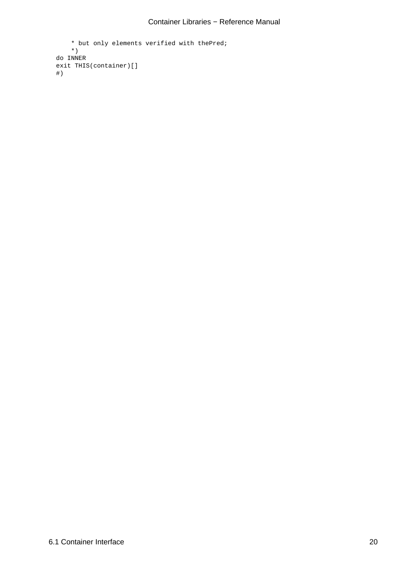```
 * but only elements verified with thePred;
     *)
 do INNER
 exit THIS(container)[]
 #)
```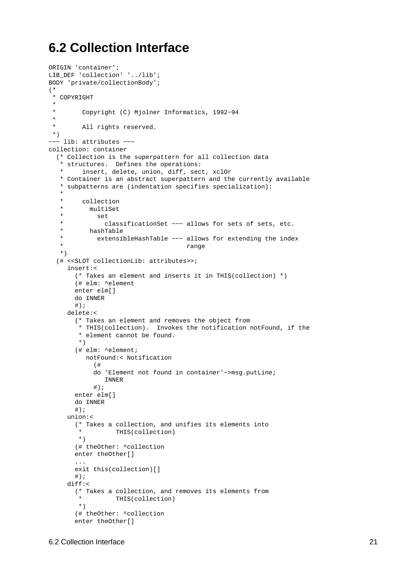## <span id="page-23-0"></span>**6.2 Collection Interface**

```
ORIGIN 'container';
LIB_DEF 'collection' '../lib';
BODY 'private/collectionBody';
(*
 * COPYRIGHT
 * 
         Copyright (C) Mjolner Informatics, 1992-94
 \ddot{\phantom{a}} * All rights reserved.
 *)
−−− lib: attributes −−−
collection: container
   (* Collection is the superpattern for all collection data
    * structures. Defines the operations: 
    * insert, delete, union, diff, sect, xclOr
   * Container is an abstract superpattern and the currently available
    * subpatterns are (indentation specifies specialization): 
 * 
    * collection
    * multiSet
    * set
    * classificationSet −−− allows for sets of sets, etc.
    * hashTable
    * extensibleHashTable −−− allows for extending the index
                                     range
    *)
   (# <<SLOT collectionLib: attributes>>;
     insert:< 
       (* Takes an element and inserts it in THIS(collection) *)
        (# elm: ^element
       enter elm[]
       do INNER
      #);
     delete:< 
        (* Takes an element and removes the object from
         * THIS(collection). Invokes the notification notFound, if the
         * element cannot be found.
        *)
        (# elm: ^element;
          notFound:< Notification
            (# 
             do 'Element not found in container'−>msg.putLine;
               INNER
            \#);
       enter elm[]
       do INNER
       #);
     union:< 
        (* Takes a collection, and unifies its elements into
         * THIS(collection)
        *)
        (# theOther: ^collection
        enter theOther[]
        ...
       exit this(collection)[]
      \#);
     diff:< 
        (* Takes a collection, and removes its elements from
                 THIS(collection)
        *)
        (# theOther: ^collection
        enter theOther[]
```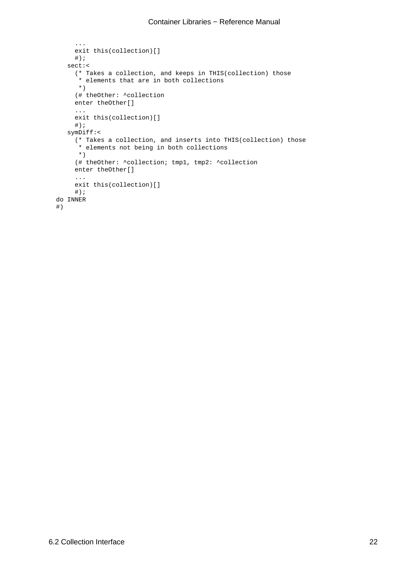```
 ...
      exit this(collection)[]
     \#);
   sect:< 
      (* Takes a collection, and keeps in THIS(collection) those
       * elements that are in both collections
      *)
      (# theOther: ^collection
      enter theOther[]
      ...
      exit this(collection)[]
     \#);
   symDiff:< 
      (* Takes a collection, and inserts into THIS(collection) those
       * elements not being in both collections
       *)
      (# theOther: ^collection; tmp1, tmp2: ^collection
      enter theOther[]
      ...
      exit this(collection)[]
     \#);
 do INNER
 #)
```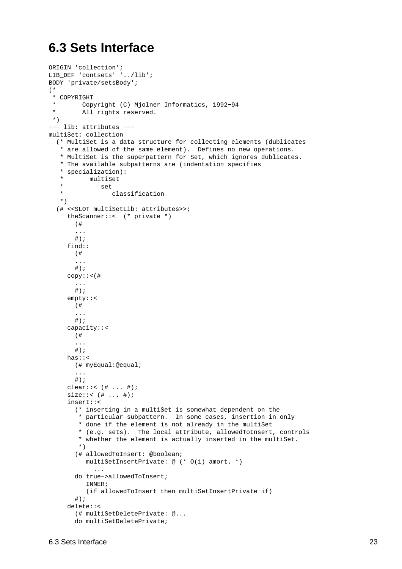## <span id="page-25-0"></span>**6.3 Sets Interface**

```
ORIGIN 'collection';
LIB_DEF 'contsets' '../lib';
BODY 'private/setsBody';
(*
  * COPYRIGHT
  * Copyright (C) Mjolner Informatics, 1992−94
  * All rights reserved.
  *)
−−− lib: attributes −−−
multiSet: collection
   (* MultiSet is a data structure for collecting elements (dublicates
    * are allowed of the same element). Defines no new operations.
    * MultiSet is the superpattern for Set, which ignores dublicates.
    * The available subpatterns are (indentation specifies
    * specialization): 
    * multiSet
    * set
    * classification
    *)
   (# <<SLOT multiSetLib: attributes>>;
     theScanner::< (* private *)
        (# 
        ...
       \#);
     find::
        (# 
        ...
       \#);
     copy::<(# 
        ...
        #);
     empty::<
        (# 
        ...
       #);
     capacity::<
        (# 
        ...
       \#) ;
     has::<
       (# myEqual:@equal;
        ...
       #);
     clear::< (\# \dots \#);
     size::< (# ... #);
     insert::< 
        (* inserting in a multiSet is somewhat dependent on the
         * particular subpattern. In some cases, insertion in only
         * done if the element is not already in the multiSet
         * (e.g. sets). The local attribute, allowedToInsert, controls
         * whether the element is actually inserted in the multiSet.
         *)
        (# allowedToInsert: @boolean;
           multiSetInsertPrivate: @ (* O(1) amort. *)
              ...
        do true−>allowedToInsert; 
           INNER; 
           (if allowedToInsert then multiSetInsertPrivate if)
       #);
     delete::< 
        (# multiSetDeletePrivate: @... 
        do multiSetDeletePrivate;
```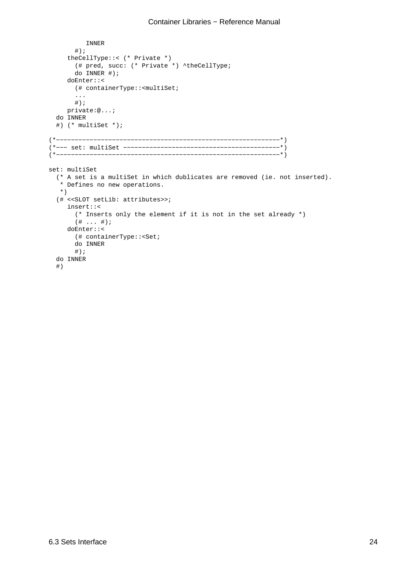```
 INNER 
       \#);
     theCellType::< (* Private *)
        (# pred, succ: (* Private *) ^theCellType;
        do INNER #);
     doEnter::<
        (# containerType::<multiSet;
        ...
       #);
    private:@...;
   do INNER
   #) (* multiSet *);
(*−−−−−−−−−−−−−−−−−−−−−−−−−−−−−−−−−−−−−−−−−−−−−−−−−−−−−−−−−−−−*)
(*−−− set: multiSet −−−−−−−−−−−−−−−−−−−−−−−−−−−−−−−−−−−−−−−−−−*)
(*−−−−−−−−−−−−−−−−−−−−−−−−−−−−−−−−−−−−−−−−−−−−−−−−−−−−−−−−−−−−*)
set: multiSet
   (* A set is a multiSet in which dublicates are removed (ie. not inserted). 
    * Defines no new operations.
   *)
   (# <<SLOT setLib: attributes>>;
     insert::< 
        (* Inserts only the element if it is not in the set already *)
       ( # ... #);
     doEnter::<
        (# containerType::<Set;
        do INNER
       \#);
   do INNER
   #)
```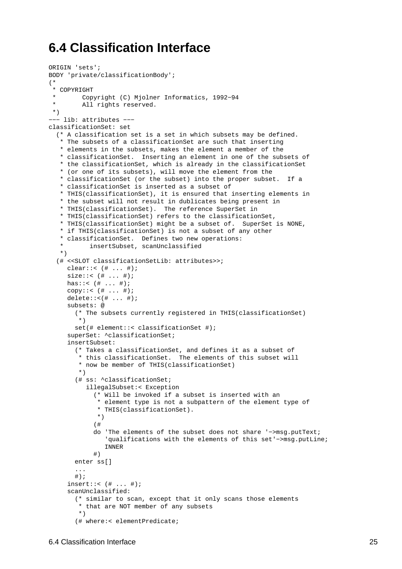## <span id="page-27-0"></span>**6.4 Classification Interface**

```
ORIGIN 'sets';
BODY 'private/classificationBody';
(*
  * COPYRIGHT
         * Copyright (C) Mjolner Informatics, 1992−94
         All rights reserved.
  *)
−−− lib: attributes −−−
classificationSet: set
   (* A classification set is a set in which subsets may be defined.
    * The subsets of a classificationSet are such that inserting
    * elements in the subsets, makes the element a member of the
    * classificationSet. Inserting an element in one of the subsets of
    * the classificationSet, which is already in the classificationSet
    * (or one of its subsets), will move the element from the
    * classificationSet (or the subset) into the proper subset. If a
    * classificationSet is inserted as a subset of
    * THIS(classificationSet), it is ensured that inserting elements in
    * the subset will not result in dublicates being present in
    * THIS(classificationSet). The reference SuperSet in
    * THIS(classificationSet) refers to the classificationSet,
    * THIS(classificationSet) might be a subset of. SuperSet is NONE,
    * if THIS(classificationSet) is not a subset of any other
    * classificationSet. Defines two new operations: 
           insertSubset, scanUnclassified
    *)
   (# <<SLOT classificationSetLib: attributes>>;
     clear::< (\# ... \#);
     size::<(# . . . #);has::< (# ... #);
     copy::< (\# ... \#);
     delete::((\# ... \#));
     subsets: @
        (* The subsets currently registered in THIS(classificationSet)
         *)
        set(# element::< classificationSet #);
     superSet: ^classificationSet;
     insertSubset: 
        (* Takes a classificationSet, and defines it as a subset of
         * this classificationSet. The elements of this subset will
         * now be member of THIS(classificationSet)
         *)
        (# ss: ^classificationSet;
           illegalSubset:< Exception
             (* Will be invoked if a subset is inserted with an
              * element type is not a subpattern of the element type of
              * THIS(classificationSet).
              *)
             (# 
             do 'The elements of the subset does not share '−>msg.putText;
                 'qualifications with the elements of this set'−>msg.putLine;
                INNER
             #)
        enter ss[]
        ...
       #);
     insert::\left(\text{#} \dots \text{#}\right)scanUnclassified: 
        (* similar to scan, except that it only scans those elements
         * that are NOT member of any subsets
         *)
        (# where:< elementPredicate;
```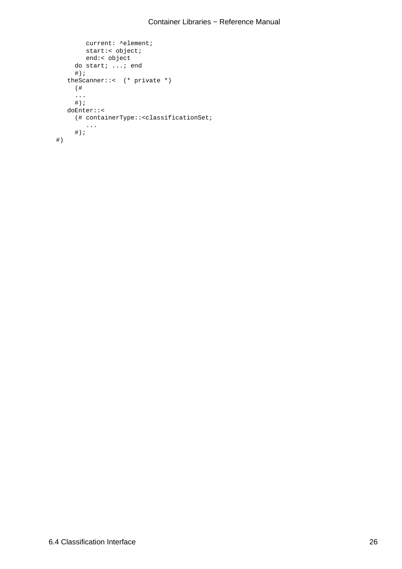```
 current: ^element;
          start:< object;
          end:< object
       do start; ...; end
      \# ) \, ;
    theScanner::< (* private *)
       (# 
       ...
      #);
    doEnter::<
       (# containerType::<classificationSet;
 ...
 #);
 #)
```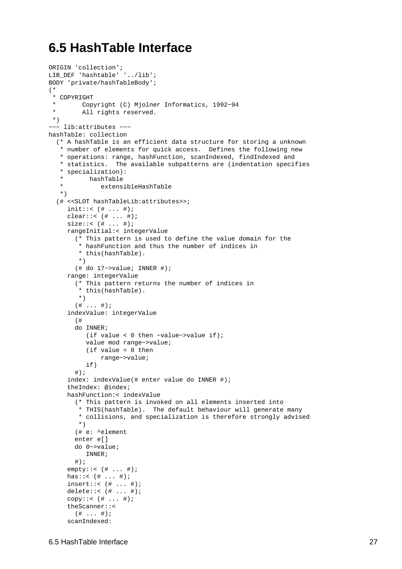## <span id="page-29-0"></span>**6.5 HashTable Interface**

```
ORIGIN 'collection';
LIB_DEF 'hashtable' '../lib';
BODY 'private/hashTableBody';
(*
  * COPYRIGHT
          * Copyright (C) Mjolner Informatics, 1992−94
  * All rights reserved.
  *)
−−− lib:attributes −−−
hashTable: collection
   (* A hashTable is an efficient data structure for storing a unknown
    * number of elements for quick access. Defines the following new
    * operations: range, hashFunction, scanIndexed, findIndexed and
    * statistics. The available subpatterns are (indentation specifies
    * specialization):
    * hashTable
              extensibleHashTable
    *)
   (# <<SLOT hashTableLib:attributes>>;
     init::( # ... #);clear::< (# ... #);
     size::< (# ... #); 
     rangeInitial:< integerValue
        (* This pattern is used to define the value domain for the
         * hashFunction and thus the number of indices in
         * this(hashTable).
         *)
        (# do 17−>value; INNER #);
     range: integerValue
        (* This pattern returns the number of indices in
         * this(hashTable).
         *)
       ( # . . . #);
     indexValue: integerValue
        (#
        do INNER;
           (if value < 0 then −value−>value if);
           value mod range−>value;
           (if value = 0 then 
               range−>value;
           if)
       #);
     index: indexValue(# enter value do INNER #); 
     theIndex: @index;
     hashFunction:< indexValue
        (* This pattern is invoked on all elements inserted into
         * THIS(hashTable). The default behaviour will generate many
         * collisions, and specialization is therefore strongly advised
         *)
        (# e: ^element
        enter e[] 
        do 0−>value;
           INNER;
       #);
     empty::< (# ... #);
     has::< (# ... #);
     insert::< (# ... #);
     delete::< (# ... #);
     copy::< (\# ... \#);
     theScanner::<
       ( # ... #);scanIndexed:
```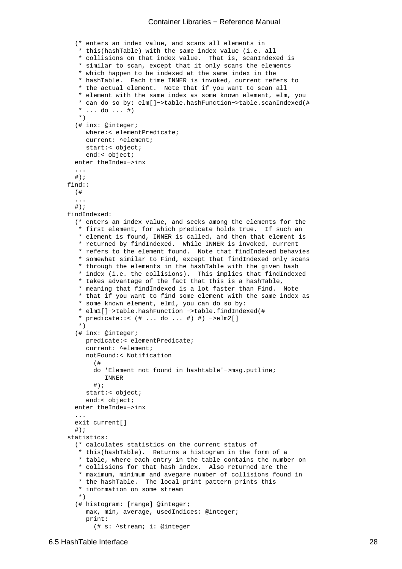```
 (* enters an index value, and scans all elements in
         * this(hashTable) with the same index value (i.e. all
         * collisions on that index value. That is, scanIndexed is
         * similar to scan, except that it only scans the elements
         * which happen to be indexed at the same index in the
         * hashTable. Each time INNER is invoked, current refers to
         * the actual element. Note that if you want to scan all
         * element with the same index as some known element, elm, you
         * can do so by: elm[]−>table.hashFunction−>table.scanIndexed(#
         \dots do \dots #)
         *)
        (# inx: @integer;
           where:< elementPredicate;
           current: ^element;
           start:< object;
           end:< object;
        enter theIndex−>inx
        ...
        #);
    find::
        (# 
        ...
        #);
     findIndexed:
        (* enters an index value, and seeks among the elements for the
         * first element, for which predicate holds true. If such an
         * element is found, INNER is called, and then that element is
         * returned by findIndexed. While INNER is invoked, current
         * refers to the element found. Note that findIndexed behavies
         * somewhat similar to Find, except that findIndexed only scans
         * through the elements in the hashTable with the given hash
         * index (i.e. the collisions). This implies that findIndexed
         * takes advantage of the fact that this is a hashTable,
         * meaning that findIndexed is a lot faster than Find. Note
         * that if you want to find some element with the same index as
         * some known element, elm1, you can do so by:
         * elm1[]−>table.hashFunction −>table.findIndexed(#
         * predicate::< (# ... do ... #) #) −>elm2[]
         *)
        (# inx: @integer;
           predicate:< elementPredicate;
           current: ^element;
           notFound:< Notification
 (#
             do 'Element not found in hashtable'−>msg.putline;
                INNER
             #);
           start:< object;
           end:< object;
        enter theIndex−>inx
        ...
       exit current[]
       \#);
    statistics:
        (* calculates statistics on the current status of
         * this(hashTable). Returns a histogram in the form of a
         * table, where each entry in the table contains the number on
         * collisions for that hash index. Also returned are the
         * maximum, minimum and avegare number of collisions found in
         * the hashTable. The local print pattern prints this
         * information on some stream
         *)
        (# histogram: [range] @integer;
           max, min, average, usedIndices: @integer;
           print:
             (# s: ^stream; i: @integer
```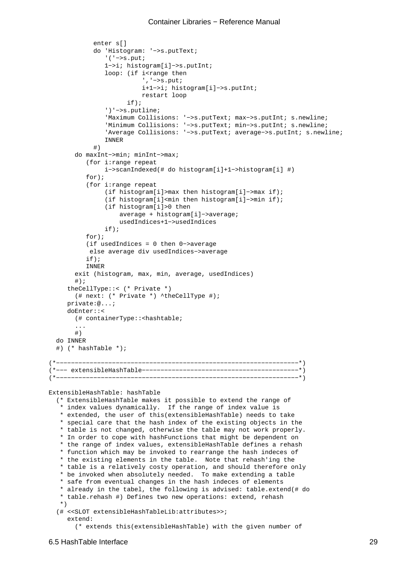```
 enter s[] 
             do 'Histogram: '−>s.putText;
                '('−>s.put;
                1−>i; histogram[i]−>s.putInt;
               loop: (if i<range then
                          ','−>s.put;
                          i+1−>i; histogram[i]−>s.putInt;
                          restart loop
                      if);
                ')'−>s.putline;
                'Maximum Collisions: '−>s.putText; max−>s.putInt; s.newline;
                'Minimum Collisions: '−>s.putText; min−>s.putInt; s.newline;
                'Average Collisions: '−>s.putText; average−>s.putInt; s.newline;
                INNER
 #)
        do maxInt−>min; minInt−>max;
           (for i:range repeat
                i−>scanIndexed(# do histogram[i]+1−>histogram[i] #)
           for);
           (for i:range repeat
                (if histogram[i]>max then histogram[i]−>max if);
                (if histogram[i]<min then histogram[i]−>min if);
                (if histogram[i]>0 then
                    average + histogram[i]−>average;
                    usedIndices+1−>usedIndices
                if);
           for);
           (if usedIndices = 0 then 0−>average
            else average div usedIndices−>average
           if);
           INNER
        exit (histogram, max, min, average, usedIndices)
        #);
     theCellType::< (* Private *)
        (# next: (* Private *) ^theCellType #);
     private:@...;
     doEnter::<
        (# containerType::<hashtable;
        ...
        #)
  do INNER
   #) (* hashTable *);
(*−−−−−−−−−−−−−−−−−−−−−−−−−−−−−−−−−−−−−−−−−−−−−−−−−−−−−−−−−−−−−−−−−*) 
(*−−− extensibleHashTable−−−−−−−−−−−−−−−−−−−−−−−−−−−−−−−−−−−−−−−−−−*) 
(*−−−−−−−−−−−−−−−−−−−−−−−−−−−−−−−−−−−−−−−−−−−−−−−−−−−−−−−−−−−−−−−−−*) 
ExtensibleHashTable: hashTable
   (* ExtensibleHashTable makes it possible to extend the range of
    * index values dynamically. If the range of index value is
    * extended, the user of this(extensibleHashTable) needs to take
    * special care that the hash index of the existing objects in the
    * table is not changed, otherwise the table may not work properly.
    * In order to cope with hashFunctions that might be dependent on
    * the range of index values, extensibleHashTable defines a rehash
    * function which may be invoked to rearrange the hash indeces of
    * the existing elements in the table. Note that rehash'ing the
    * table is a relatively costy operation, and should therefore only
    * be invoked when absolutely needed. To make extending a table
    * safe from eventual changes in the hash indeces of elements
    * already in the tabel, the following is advised: table.extend(# do
    * table.rehash #) Defines two new operations: extend, rehash
    *)
   (# <<SLOT extensibleHashTableLib:attributes>>;
     extend:
```

```
 (* extends this(extensibleHashTable) with the given number of
```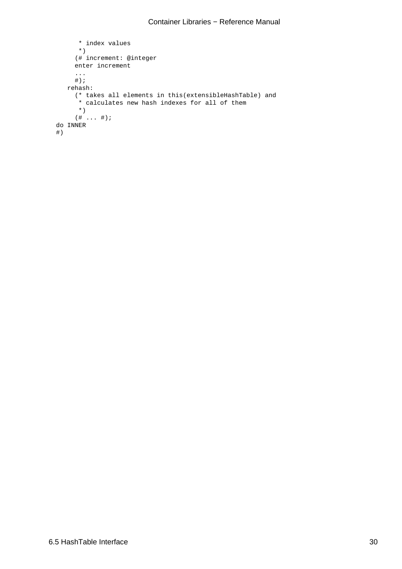```
 * index values
       *)
      (# increment: @integer
      enter increment
      ...
     \# ) \; ;
   rehash:
      (* takes all elements in this(extensibleHashTable) and
       * calculates new hash indexes for all of them
       *)
     ( # ... #); do INNER
 #)
```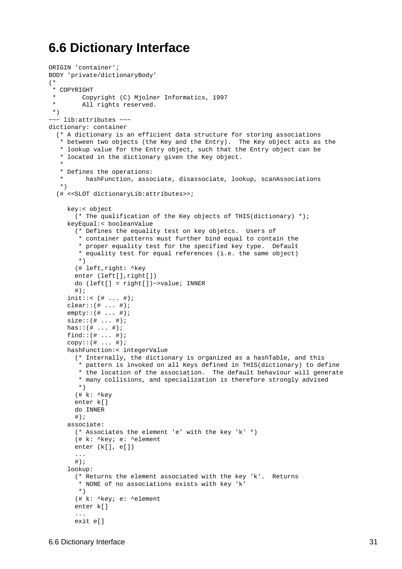## <span id="page-33-0"></span>**6.6 Dictionary Interface**

```
ORIGIN 'container';
BODY 'private/dictionaryBody'
(*
 * COPYRIGHT
        Copyright (C) Mjolner Informatics, 1997
        All rights reserved.
 *)
−−− lib:attributes −−−
dictionary: container
   (* A dictionary is an efficient data structure for storing associations
    * between two objects (the Key and the Entry). The Key object acts as the
    * lookup value for the Entry object, such that the Entry object can be
    * located in the dictionary given the Key object.
 * 
    * Defines the operations: 
    * hashFunction, associate, disassociate, lookup, scanAssociations
    *)
   (# <<SLOT dictionaryLib:attributes>>;
    key:< object
        (* The qualification of the Key objects of THIS(dictionary) *);
    keyEqual:< booleanValue
        (* Defines the equality test on key objetcs. Users of
         * container patterns must further bind equal to contain the
         * proper equality test for the specified key type. Default
         * equality test for equal references (i.e. the same object)
         *)
        (# left,right: ^key
        enter (left[],right[])
        do (left[] = right[])−>value; INNER
        #);
     init::( # ... #);clear::(# ... #);
     empty::(# ... #);
    size::(# ... #);has::(# ... #);
    find::(# ... #);
     copy::(# ... #);hashFunction:< integerValue
        (* Internally, the dictionary is organized as a hashTable, and this
         * pattern is invoked on all Keys defined in THIS(dictionary) to define
         * the location of the association. The default behaviour will generate
         * many collisions, and specialization is therefore strongly advised
         *)
        (# k: ^key
        enter k[] 
        do INNER
       #);
     associate:
        (* Associates the element 'e' with the key 'k' *)
        (# k: ^key; e: ^element
        enter (k[], e[])
        ...
       \# ) \, ;
     lookup:
        (* Returns the element associated with the key 'k'. Returns
         * NONE of no associations exists with key 'k'
        *)
        (# k: ^key; e: ^element
        enter k[]
        ...
        exit e[]
```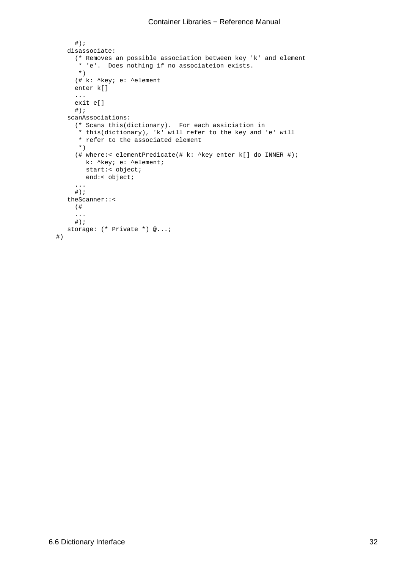```
\#);
  disassociate:
      (* Removes an possible association between key 'k' and element
      * 'e'. Does nothing if no associateion exists.
      *)
      (# k: ^key; e: ^element
     enter k[]
     ...
     exit e[]
    #);
   scanAssociations:
      (* Scans this(dictionary). For each assiciation in
       * this(dictionary), 'k' will refer to the key and 'e' will
      * refer to the associated element
      *)
      (# where:< elementPredicate(# k: ^key enter k[] do INNER #);
        k: ^key; e: ^element;
        start:< object;
        end:< object;
      ...
    #);
   theScanner::<
     (# 
      ...
    #);
  storage: (* Private *) @...;
 #)
```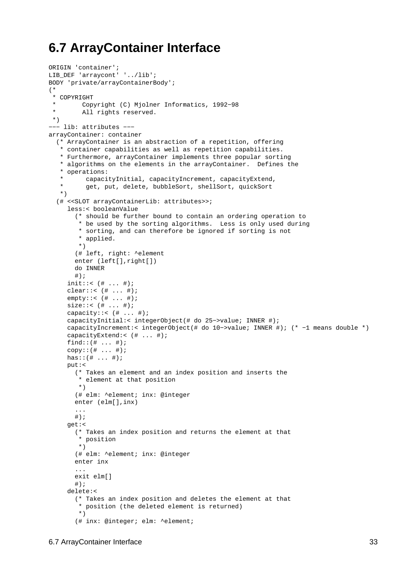## <span id="page-35-0"></span>**6.7 ArrayContainer Interface**

```
ORIGIN 'container';
LIB_DEF 'arraycont' '../lib';
BODY 'private/arrayContainerBody';
(*
  * COPYRIGHT
          * Copyright (C) Mjolner Informatics, 1992−98
  * All rights reserved.
 *)
−−− lib: attributes −−−
arrayContainer: container
   (* ArrayContainer is an abstraction of a repetition, offering
   * container capabilities as well as repetition capabilities.
    * Furthermore, arrayContainer implements three popular sorting
    * algorithms on the elements in the arrayContainer. Defines the
    * operations: 
          capacityInitial, capacityIncrement, capacityExtend,
          get, put, delete, bubbleSort, shellSort, quickSort
   *) 
   (# <<SLOT arrayContainerLib: attributes>>;
     less:< booleanValue
        (* should be further bound to contain an ordering operation to
         * be used by the sorting algorithms. Less is only used during
         * sorting, and can therefore be ignored if sorting is not
         * applied.
         *)
        (# left, right: ^element
        enter (left[],right[])
        do INNER
        #);
     init::< ( # ... #);
     clear::< (# ... #);
     empty::< (# ... #);
     size::<(# . . . #);capacity::< (# ... #);
     capacityInitial:< integerObject(# do 25−>value; INNER #);
     capacityIncrement:< integerObject(# do 10−>value; INNER #); (* −1 means double *)
     capacityExtend:< (# ... #);
     find::(# ... #);
     copy::(# . . . . #);has::(# ... #);
    put:< 
        (* Takes an element and an index position and inserts the
         * element at that position
         *)
        (# elm: ^element; inx: @integer 
        enter (elm[],inx)
        ...
       #);
     get:< 
        (* Takes an index position and returns the element at that
         * position
        *)
        (# elm: ^element; inx: @integer
        enter inx
 ...
        exit elm[]
       \#);
     delete:< 
        (* Takes an index position and deletes the element at that
         * position (the deleted element is returned)
         *)
        (# inx: @integer; elm: ^element;
```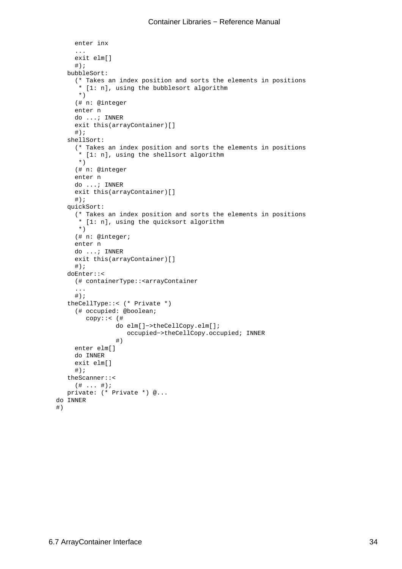```
 enter inx
        ...
       exit elm[]
      \#);
    bubbleSort: 
        (* Takes an index position and sorts the elements in positions
         * [1: n], using the bubblesort algorithm
        *)
        (# n: @integer
       enter n
       do ...; INNER
       exit this(arrayContainer)[] 
       \#);
     shellSort: 
        (* Takes an index position and sorts the elements in positions
        * [1: n], using the shellsort algorithm
        *)
        (# n: @integer
       enter n
       do ...; INNER
       exit this(arrayContainer)[] 
      \#);
     quickSort: 
        (* Takes an index position and sorts the elements in positions
         * [1: n], using the quicksort algorithm
        *)
        (# n: @integer;
       enter n
       do ...; INNER 
       exit this(arrayContainer)[] 
      \#);
     doEnter::<
       (# containerType::<arrayContainer
        ... 
      #);
     theCellType::< (* Private *)
        (# occupied: @boolean;
           copy::< (# 
                   do elm[]−>theCellCopy.elm[];
                      occupied−>theCellCopy.occupied; INNER
 #)
        enter elm[]
       do INNER 
       exit elm[]
      \#);
    theScanner::<
      ( # ... #);
    private: (* Private *) @...
  do INNER
```
#)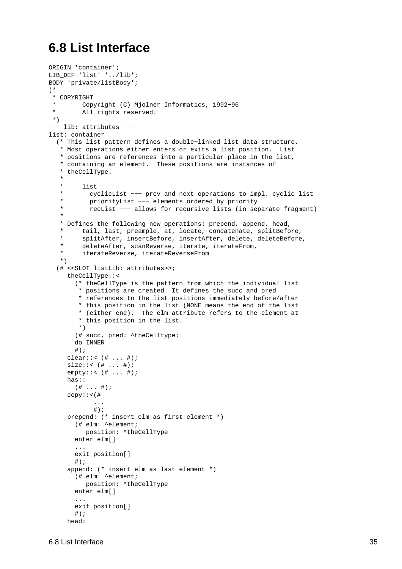## <span id="page-37-0"></span>**6.8 List Interface**

```
ORIGIN 'container';
LIB_DEF 'list' '../lib';
BODY 'private/listBody';
(*
  * COPYRIGHT
         * Copyright (C) Mjolner Informatics, 1992−96
  * All rights reserved.
 *)
−−− lib: attributes −−−
list: container
   (* This list pattern defines a double−linked list data structure.
    * Most operations either enters or exits a list position. List
    * positions are references into a particular place in the list,
    * containing an element. These positions are instances of
    * theCellType.
 * 
    * list
           cyclicList --- prev and next operations to impl. cyclic list
           priorityList --- elements ordered by priority
           recList --- allows for recursive lists (in separate fragment)
 * 
    * Defines the following new operations: prepend, append, head,
         tail, last, preample, at, locate, concatenate, splitBefore,
         splitAfter, insertBefore, insertAfter, delete, deleteBefore,
         deleteAfter, scanReverse, iterate, iterateFrom,
         iterateReverse, iterateReverseFrom
    *)
   (# <<SLOT listLib: attributes>>;
     theCellType::< 
        (* theCellType is the pattern from which the individual list
         * positions are created. It defines the succ and pred
         * references to the list positions immediately before/after
         * this position in the list (NONE means the end of the list
         * (either end). The elm attribute refers to the element at
         * this position in the list.
        *)
        (# succ, pred: ^theCelltype; 
        do INNER
       \#);
     clear::< (# ... #);
     size::< (# ... #);
     empty::< (# ... #);
    has::
      ( # ... #);copy::<(#
             ... 
           #);
     prepend: (* insert elm as first element *)
        (# elm: ^element; 
          position: ^theCellType
        enter elm[]
        ...
        exit position[]
       #);
     append: (* insert elm as last element *)
        (# elm: ^element; 
          position: ^theCellType
        enter elm[]
 ...
        exit position[]
       #);
```
head: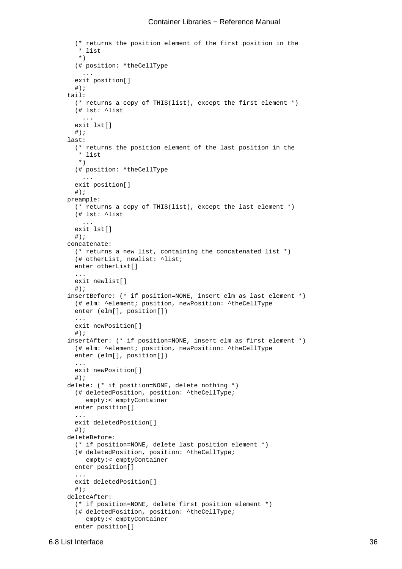```
 (* returns the position element of the first position in the
         * list
        *)
        (# position: ^theCellType
 ...
       exit position[]
       \#);
     tail: 
        (* returns a copy of THIS(list), except the first element *)
        (# lst: ^list
         ...
       exit lst[]
       \#);
     last: 
        (* returns the position element of the last position in the
        * list
        *)
        (# position: ^theCellType
 ...
        exit position[]
       \#) ;
     preample: 
        (* returns a copy of THIS(list), except the last element *)
        (# lst: ^list
 ...
        exit lst[]
       \#);
     concatenate: 
        (* returns a new list, containing the concatenated list *)
        (# otherList, newlist: ^list; 
       enter otherList[]
        ...
       exit newlist[]
        #);
     insertBefore: (* if position=NONE, insert elm as last element *)
        (# elm: ^element; position, newPosition: ^theCellType
       enter (elm[], position[])
        ...
        exit newPosition[]
       #);
     insertAfter: (* if position=NONE, insert elm as first element *)
        (# elm: ^element; position, newPosition: ^theCellType
       enter (elm[], position[])
        ...
       exit newPosition[]
        #);
     delete: (* if position=NONE, delete nothing *)
        (# deletedPosition, position: ^theCellType;
           empty:< emptyContainer
       enter position[]
        ...
       exit deletedPosition[]
       \#);
     deleteBefore: 
        (* if position=NONE, delete last position element *)
        (# deletedPosition, position: ^theCellType;
           empty:< emptyContainer
        enter position[]
        ...
       exit deletedPosition[]
       \#);
     deleteAfter: 
        (* if position=NONE, delete first position element *)
        (# deletedPosition, position: ^theCellType;
           empty:< emptyContainer
        enter position[]
```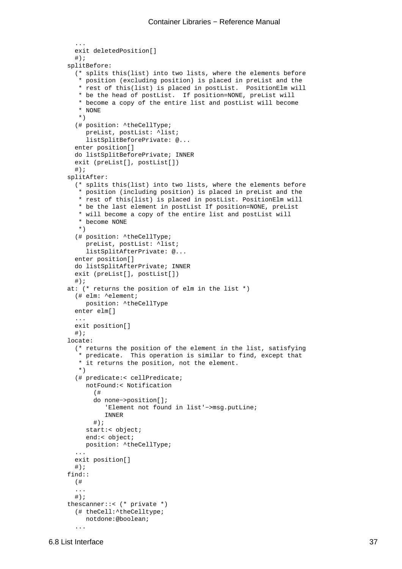```
 exit deletedPosition[]
       \#);
     splitBefore: 
        (* splits this(list) into two lists, where the elements before
         * position (excluding position) is placed in preList and the
         * rest of this(list) is placed in postList. PositionElm will
         * be the head of postList. If position=NONE, preList will
         * become a copy of the entire list and postList will become
         * NONE
         *)
        (# position: ^theCellType;
           preList, postList: ^list;
           listSplitBeforePrivate: @...
        enter position[]
        do listSplitBeforePrivate; INNER
        exit (preList[], postList[])
        #);
     splitAfter: 
        (* splits this(list) into two lists, where the elements before
         * position (including position) is placed in preList and the
         * rest of this(list) is placed in postList. PositionElm will
         * be the last element in postList If position=NONE, preList
         * will become a copy of the entire list and postList will
         * become NONE
         *)
        (# position: ^theCellType;
          preList, postList: ^list;
           listSplitAfterPrivate: @...
        enter position[]
       do listSplitAfterPrivate; INNER
        exit (preList[], postList[])
        #);
     at: (* returns the position of elm in the list *)
        (# elm: ^element;
           position: ^theCellType
       enter elm[]
        ...
        exit position[]
       #);
     locate: 
        (* returns the position of the element in the list, satisfying
         predicate. This operation is similar to find, except that
         * it returns the position, not the element.
         *)
        (# predicate:< cellPredicate;
           notFound:< Notification
             (# 
             do none−>position[];
                'Element not found in list'−>msg.putLine;
                INNER
            #);
           start:< object;
           end:< object;
           position: ^theCellType;
        ...
        exit position[]
       \# ) \, ;
     find::
        (#
        ...
       #);
     thescanner::< (* private *)
        (# theCell:^theCelltype;
           notdone:@boolean;
 ...
```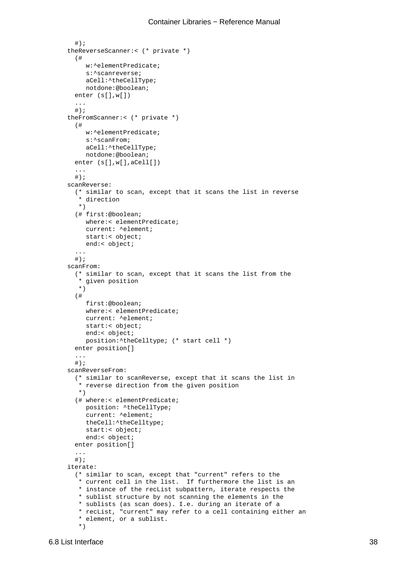```
#);
     theReverseScanner:< (* private *)
        (# 
           w:^elementPredicate;
           s:^scanreverse;
           aCell:^theCellType;
           notdone:@boolean;
        enter (s[],w[])
        ...
       #);
     theFromScanner:< (* private *)
        (# 
           w:^elementPredicate;
           s:^scanFrom;
           aCell:^theCellType;
           notdone:@boolean;
       enter (s[],w[],aCell[])
        ...
       #);
     scanReverse: 
        (* similar to scan, except that it scans the list in reverse
        * direction
        *)
        (# first:@boolean;
           where:< elementPredicate;
           current: ^element;
           start:< object;
          end:< object;
        ...
      \#);
     scanFrom:
        (* similar to scan, except that it scans the list from the
         * given position
         *)
        (# 
           first:@boolean;
           where:< elementPredicate;
           current: ^element;
           start:< object;
           end:< object;
           position:^theCelltype; (* start cell *)
        enter position[]
 ...
       #);
     scanReverseFrom: 
        (* similar to scanReverse, except that it scans the list in
         * reverse direction from the given position
        *)
        (# where:< elementPredicate;
           position: ^theCellType;
           current: ^element;
           theCell:^theCelltype;
           start:< object;
           end:< object;
        enter position[]
        ...
       #);
     iterate: 
        (* similar to scan, except that "current" refers to the
         * current cell in the list. If furthermore the list is an
         * instance of the recList subpattern, iterate respects the
         * sublist structure by not scanning the elements in the
         * sublists (as scan does). I.e. during an iterate of a
         * recList, "current" may refer to a cell containing either an
         * element, or a sublist.
         *)
```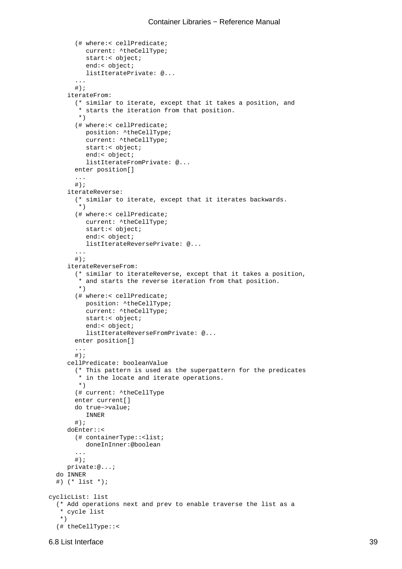```
 (# where:< cellPredicate;
           current: ^theCellType;
           start:< object;
           end:< object;
           listIteratePrivate: @...
 ...
       #);
     iterateFrom: 
        (* similar to iterate, except that it takes a position, and
         * starts the iteration from that position.
         *)
        (# where:< cellPredicate;
           position: ^theCellType;
           current: ^theCellType;
           start:< object;
           end:< object;
           listIterateFromPrivate: @...
        enter position[]
        ...
       #);
     iterateReverse: 
        (* similar to iterate, except that it iterates backwards.
        \overline{\ } (# where:< cellPredicate;
           current: ^theCellType;
           start:< object;
           end:< object;
           listIterateReversePrivate: @...
        ...
       \#);
     iterateReverseFrom: 
        (* similar to iterateReverse, except that it takes a position,
         * and starts the reverse iteration from that position.
         *)
        (# where:< cellPredicate;
           position: ^theCellType;
           current: ^theCellType;
           start:< object;
           end:< object;
           listIterateReverseFromPrivate: @...
        enter position[] 
        ...
       \# ) \; ;
     cellPredicate: booleanValue
        (* This pattern is used as the superpattern for the predicates
         * in the locate and iterate operations.
         *)
        (# current: ^theCellType
        enter current[]
        do true−>value;
           INNER
       \#);
     doEnter::<
        (# containerType::<list;
           doneInInner:@boolean
        ...
       \#);
     private:@...;
   do INNER
   #) (* list *);
cyclicList: list
   (* Add operations next and prev to enable traverse the list as a
    * cycle list
    *)
   (# theCellType::<
```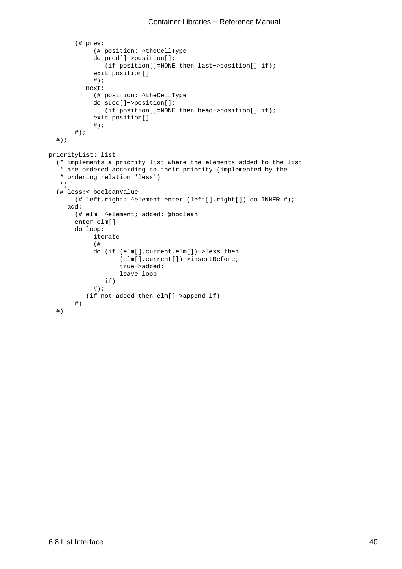```
 (# prev:
             (# position: ^theCellType
             do pred[]−>position[];
                (if position[]=NONE then last−>position[] if);
             exit position[]
            #);
           next:
             (# position: ^theCellType
             do succ[]−>position[];
                 (if position[]=NONE then head−>position[] if);
             exit position[]
            #);
       #);
  #);
priorityList: list
   (* implements a priority list where the elements added to the list
    * are ordered according to their priority (implemented by the
    * ordering relation 'less')
    *)
   (# less:< booleanValue
        (# left,right: ^element enter (left[],right[]) do INNER #);
     add:
        (# elm: ^element; added: @boolean
        enter elm[]
        do loop:
             iterate
             (#
             do (if (elm[],current.elm[])−>less then
                     (elm[],current[])−>insertBefore;
                     true−>added;
                     leave loop
                if)
            #);
           (if not added then elm[]−>append if)
        #)
   #)
```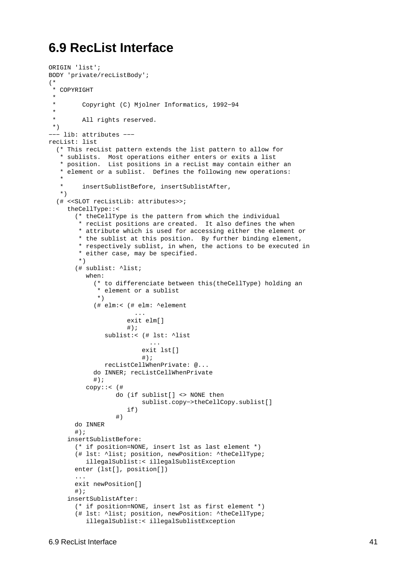## <span id="page-43-0"></span>**6.9 RecList Interface**

```
ORIGIN 'list';
BODY 'private/recListBody';
(*
 * COPYRIGHT
 * 
         * Copyright (C) Mjolner Informatics, 1992−94
 * 
  * All rights reserved.
 *)
−−− lib: attributes −−−
recList: list
   (* This recList pattern extends the list pattern to allow for
   * sublists. Most operations either enters or exits a list
    * position. List positions in a recList may contain either an
    * element or a sublist. Defines the following new operations: 
 * 
    * insertSublistBefore, insertSublistAfter,
   *)
   (# <<SLOT recListLib: attributes>>;
    theCellType::< 
        (* theCellType is the pattern from which the individual
         * recList positions are created. It also defines the when
        * attribute which is used for accessing either the element or
        * the sublist at this position. By further binding element,
        * respectively sublist, in when, the actions to be executed in
        * either case, may be specified.
        *)
        (# sublist: ^list; 
          when: 
            (* to differenciate between this(theCellType) holding an
             * element or a sublist
             *)
            (# elm:< (# elm: ^element
 ...
                     exit elm[]
                    \#);
               sublist:< (# lst: ^list
 ...
                         exit lst[] 
\#);
               recListCellWhenPrivate: @... 
            do INNER; recListCellWhenPrivate
           #);
          copy::< (# 
                  do (if sublist[] <> NONE then
                         sublist.copy−>theCellCopy.sublist[]
                     if)
 #)
       do INNER
       \#);
    insertSublistBefore: 
        (* if position=NONE, insert lst as last element *)
        (# lst: ^list; position, newPosition: ^theCellType;
          illegalSublist:< illegalSublistException
       enter (lst[], position[])
 ...
       exit newPosition[]
      \#);
    insertSublistAfter: 
        (* if position=NONE, insert lst as first element *)
        (# lst: ^list; position, newPosition: ^theCellType;
          illegalSublist:< illegalSublistException
```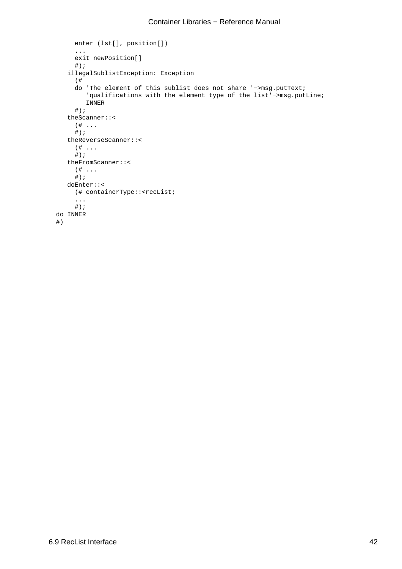```
 enter (lst[], position[])
      ...
      exit newPosition[]
     \#);
   illegalSublistException: Exception
      (# 
      do 'The element of this sublist does not share '−>msg.putText;
         'qualifications with the element type of the list'−>msg.putLine;
         INNER
     #);
   theScanner::<
     ( \# \ldots\#);
   theReverseScanner::<
      (# ...
     \# ) \, ;
   theFromScanner::<
      (# ...
     \#);
   doEnter::<
      (# containerType::<recList;
      ...
     #);
 do INNER
 #)
```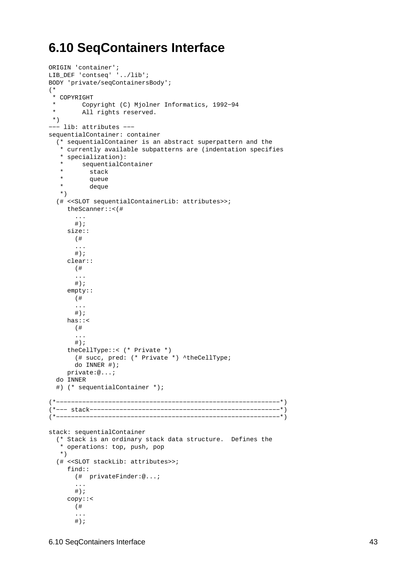## <span id="page-45-0"></span>**6.10 SeqContainers Interface**

```
ORIGIN 'container';
LIB_DEF 'contseq' '../lib';
BODY 'private/seqContainersBody';
(*
  * COPYRIGHT
  * Copyright (C) Mjolner Informatics, 1992−94
  * All rights reserved.
  *)
−−− lib: attributes −−−
sequentialContainer: container
   (* sequentialContainer is an abstract superpattern and the
    * currently available subpatterns are (indentation specifies
    * specialization): 
    * sequentialContainer
         stack
    * queue
    * deque
    *)
   (# <<SLOT sequentialContainerLib: attributes>>;
     theScanner::<(# 
        ...
       \#);
     size:: 
        (# 
        ...
       #);
     clear::
        (# 
        ...
       #);
     empty::
        (# 
        ...
      #);
     has::<
       (# 
        ...
       #);
     theCellType::< (* Private *)
        (# succ, pred: (* Private *) ^theCellType; 
        do INNER #);
     private:@...;
   do INNER
   #) (* sequentialContainer *);
(*−−−−−−−−−−−−−−−−−−−−−−−−−−−−−−−−−−−−−−−−−−−−−−−−−−−−−−−−−−−−*)
(*−−− stack−−−−−−−−−−−−−−−−−−−−−−−−−−−−−−−−−−−−−−−−−−−−−−−−−−−*)
(*−−−−−−−−−−−−−−−−−−−−−−−−−−−−−−−−−−−−−−−−−−−−−−−−−−−−−−−−−−−−*)
stack: sequentialContainer
   (* Stack is an ordinary stack data structure. Defines the
    * operations: top, push, pop
    *)
   (# <<SLOT stackLib: attributes>>;
     find::
       (# privateFinder:@...;
        ...
       #);
     copy::<
        (# 
        ...
       \# ) \, ;
```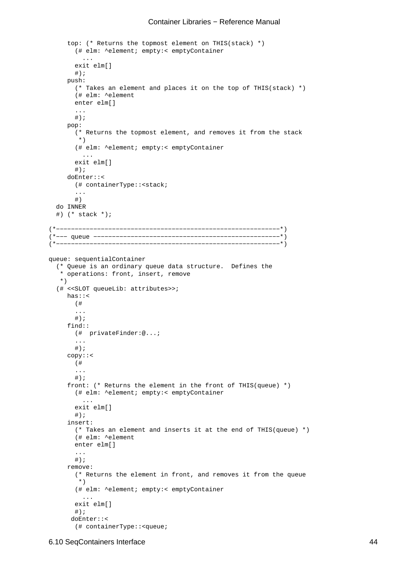```
top: (* Returns the topmost element on THIS(stack) *)
        (# elm: ^element; empty:< emptyContainer
          ...
        exit elm[]
       \#);
     push: 
        (* Takes an element and places it on the top of THIS(stack) *)
        (# elm: ^element
        enter elm[]
        ...
       #);
     pop: 
        (* Returns the topmost element, and removes it from the stack
         *)
        (# elm: ^element; empty:< emptyContainer
          ...
        exit elm[]
       \#);
     doEnter::<
        (# containerType::<stack;
        ...
        #)
   do INNER
   #) (* stack *);
(*−−−−−−−−−−−−−−−−−−−−−−−−−−−−−−−−−−−−−−−−−−−−−−−−−−−−−−−−−−−−*) 
(*−−− queue −−−−−−−−−−−−−−−−−−−−−−−−−−−−−−−−−−−−−−−−−−−−−−−−−−*) 
(*−−−−−−−−−−−−−−−−−−−−−−−−−−−−−−−−−−−−−−−−−−−−−−−−−−−−−−−−−−−−*) 
queue: sequentialContainer
   (* Queue is an ordinary queue data structure. Defines the
    * operations: front, insert, remove
    *)
   (# <<SLOT queueLib: attributes>>;
    has::<
        (# 
        ...
       #);
     find::
        (# privateFinder:@...;
        ...
       #);
     copy::<
       (# 
        ...
        #);
     front: (* Returns the element in the front of THIS(queue) *)
        (# elm: ^element; empty:< emptyContainer
          ...
        exit elm[]
       \#);
     insert: 
        (* Takes an element and inserts it at the end of THIS(queue) *)
        (# elm: ^element
        enter elm[]
        ...
       #);
     remove: 
        (* Returns the element in front, and removes it from the queue
         *)
        (# elm: ^element; empty:< emptyContainer
          ...
        exit elm[]
       \#);
      doEnter::<
        (# containerType::<queue;
```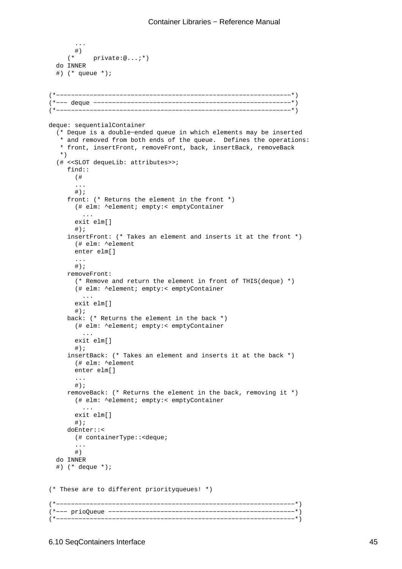```
\begin{array}{c} 1 \  \  \, + \end{array} (* private:@...;*)
   do INNER
   #) (* queue *);
(*−−−−−−−−−−−−−−−−−−−−−−−−−−−−−−−−−−−−−−−−−−−−−−−−−−−−−−−−−−−−−−−*) 
(*−−− deque −−−−−−−−−−−−−−−−−−−−−−−−−−−−−−−−−−−−−−−−−−−−−−−−−−−−−*) 
(*−−−−−−−−−−−−−−−−−−−−−−−−−−−−−−−−−−−−−−−−−−−−−−−−−−−−−−−−−−−−−−−*) 
deque: sequentialContainer
   (* Deque is a double−ended queue in which elements may be inserted
    * and removed from both ends of the queue. Defines the operations: 
    * front, insertFront, removeFront, back, insertBack, removeBack
    *)
   (# <<SLOT dequeLib: attributes>>;
     find::
        (# 
        ... 
       #);
     front: (* Returns the element in the front *)
        (# elm: ^element; empty:< emptyContainer
          ...
        exit elm[]
       \#);
     insertFront: (* Takes an element and inserts it at the front *)
        (# elm: ^element
        enter elm[]
        ...
       #);
     removeFront: 
        (* Remove and return the element in front of THIS(deque) *)
        (# elm: ^element; empty:< emptyContainer
          ...
        exit elm[]
       \#);
     back: (* Returns the element in the back *)
        (# elm: ^element; empty:< emptyContainer
          ...
        exit elm[]
        #);
     insertBack: (* Takes an element and inserts it at the back *)
        (# elm: ^element
        enter elm[]
        ...
       #);
     removeBack: (* Returns the element in the back, removing it *)
        (# elm: ^element; empty:< emptyContainer
 ...
        exit elm[]
       \#);
     doEnter::<
        (# containerType::<deque;
        ...
        #)
   do INNER
   #) (* deque *);
(* These are to different priorityqueues! *)
(*−−−−−−−−−−−−−−−−−−−−−−−−−−−−−−−−−−−−−−−−−−−−−−−−−−−−−−−−−−−−−−−−*) 
(*−−− prioQueue −−−−−−−−−−−−−−−−−−−−−−−−−−−−−−−−−−−−−−−−−−−−−−−−−−*) 
(*−−−−−−−−−−−−−−−−−−−−−−−−−−−−−−−−−−−−−−−−−−−−−−−−−−−−−−−−−−−−−−−−*)
```
...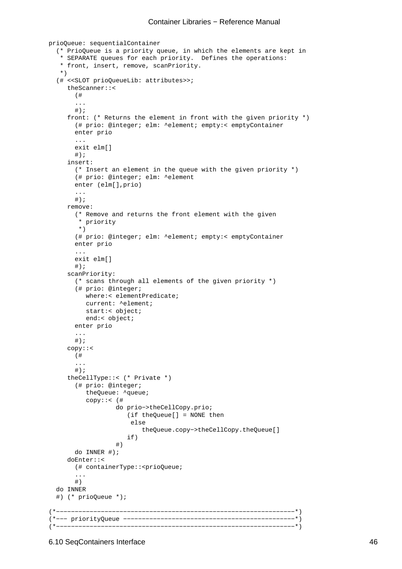```
prioQueue: sequentialContainer
   (* PrioQueue is a priority queue, in which the elements are kept in
    * SEPARATE queues for each priority. Defines the operations: 
    * front, insert, remove, scanPriority.
    *)
   (# <<SLOT prioQueueLib: attributes>>;
     theScanner::<
       ( \pm ...
       #);
     front: (* Returns the element in front with the given priority *)
        (# prio: @integer; elm: ^element; empty:< emptyContainer
        enter prio
        ...
        exit elm[]
       \#);
     insert: 
        (* Insert an element in the queue with the given priority *)
        (# prio: @integer; elm: ^element
        enter (elm[],prio)
        ...
       #);
     remove: 
        (* Remove and returns the front element with the given
         * priority
         *)
        (# prio: @integer; elm: ^element; empty:< emptyContainer
        enter prio
        ...
        exit elm[]
       \#);
     scanPriority: 
        (* scans through all elements of the given priority *)
        (# prio: @integer;
           where:< elementPredicate;
           current: ^element;
           start:< object;
           end:< object;
        enter prio
        ...
       #);
     copy::<
        (# 
        ...
       #);
     theCellType::< (* Private *)
        (# prio: @integer;
           theQueue: ^queue;
           copy::< (# 
                   do prio−>theCellCopy.prio;
                       (if theQueue[] = NONE then
                        else
                           theQueue.copy−>theCellCopy.theQueue[]
 if)
                   #)
        do INNER #);
     doEnter::<
        (# containerType::<prioQueue;
        ...
        #)
   do INNER
   #) (* prioQueue *);
(*−−−−−−−−−−−−−−−−−−−−−−−−−−−−−−−−−−−−−−−−−−−−−−−−−−−−−−−−−−−−−−−−*) 
(*−−− priorityQueue −−−−−−−−−−−−−−−−−−−−−−−−−−−−−−−−−−−−−−−−−−−−−−*) 
(*−−−−−−−−−−−−−−−−−−−−−−−−−−−−−−−−−−−−−−−−−−−−−−−−−−−−−−−−−−−−−−−−*)
```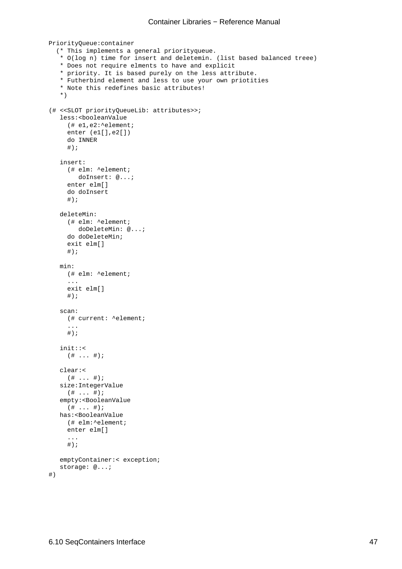```
PriorityQueue:container
   (* This implements a general priorityqueue. 
    * O(log n) time for insert and deletemin. (list based balanced treee)
    * Does not require elments to have and explicit
    * priority. It is based purely on the less attribute.
    * Futherbind element and less to use your own priotities
    * Note this redefines basic attributes!
    *)
(# <<SLOT priorityQueueLib: attributes>>;
   less:<booleanValue
      (# e1,e2:^element;
     enter (e1[],e2[])
      do INNER
     \#);
   insert:
      (# elm: ^element;
         doInsert: @...;
      enter elm[]
      do doInsert
     #);
   deleteMin:
      (# elm: ^element;
         doDeleteMin: @...;
      do doDeleteMin;
      exit elm[]
     #);
   min:
     (# elm: ^element;
      ...
      exit elm[]
     #);
   scan:
      (# current: ^element;
      ... 
     #);
   init::<
     (# ... #);
   clear:<
    ( # ... #);size:IntegerValue
    ( # ... #);empty:<BooleanValue
    (\# \ldots \#);
   has:<BooleanValue
     (# elm:^element;
     enter elm[]
      ... 
      #);
   emptyContainer:< exception;
   storage: @...;
```
#)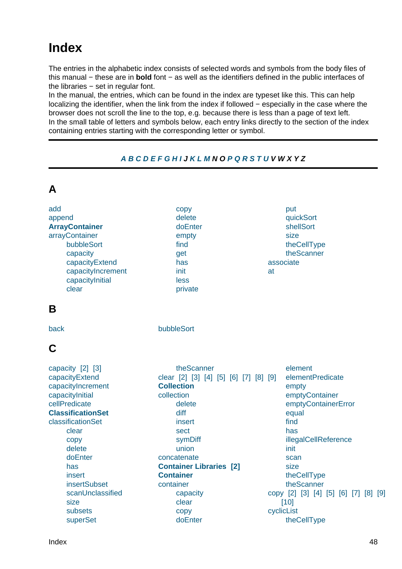# <span id="page-50-0"></span>**Index**

**A**

The entries in the alphabetic index consists of selected words and symbols from the body files of this manual − these are in **bold** font − as well as the identifiers defined in the public interfaces of the libraries − set in regular font.

In the manual, the entries, which can be found in the index are typeset like this. This can help localizing the identifier, when the link from the index if followed − especially in the case where the browser does not scroll the line to the top, e.g. because there is less than a page of text left. In the small table of letters and symbols below, each entry links directly to the section of the index containing entries starting with the corresponding letter or symbol.

#### **A B C D E F G H I J K L M N O P Q R S T U V W X Y Z**

| A                                                                                                                                                                                                                                                                             |                                                                                                                                                                                                                                                                          |                                                                                                                                                                                                                                                                   |
|-------------------------------------------------------------------------------------------------------------------------------------------------------------------------------------------------------------------------------------------------------------------------------|--------------------------------------------------------------------------------------------------------------------------------------------------------------------------------------------------------------------------------------------------------------------------|-------------------------------------------------------------------------------------------------------------------------------------------------------------------------------------------------------------------------------------------------------------------|
| add<br>append<br><b>ArrayContainer</b><br>arrayContainer<br>bubbleSort<br>capacity<br>capacityExtend<br>capacityIncrement<br>capacityInitial<br>clear                                                                                                                         | copy<br>delete<br>doEnter<br>empty<br>find<br>get<br>has<br>init<br>less<br>private                                                                                                                                                                                      | put<br>quickSort<br>shellSort<br>size<br>theCellType<br>theScanner<br>associate<br>at                                                                                                                                                                             |
| B                                                                                                                                                                                                                                                                             |                                                                                                                                                                                                                                                                          |                                                                                                                                                                                                                                                                   |
| back                                                                                                                                                                                                                                                                          | bubbleSort                                                                                                                                                                                                                                                               |                                                                                                                                                                                                                                                                   |
| C                                                                                                                                                                                                                                                                             |                                                                                                                                                                                                                                                                          |                                                                                                                                                                                                                                                                   |
| capacity [2] [3]<br>capacityExtend<br>capacityIncrement<br>capacityInitial<br>cellPredicate<br><b>ClassificationSet</b><br>classificationSet<br>clear<br>copy<br>delete<br>doEnter<br>has<br>insert<br><b>insertSubset</b><br>scanUnclassified<br>size<br>subsets<br>superSet | theScanner<br>clear [2] [3] [4] [5] [6] [7] [8] [9]<br><b>Collection</b><br>collection<br>delete<br>diff<br>insert<br>sect<br>symDiff<br>union<br>concatenate<br><b>Container Libraries [2]</b><br><b>Container</b><br>container<br>capacity<br>clear<br>copy<br>doEnter | element<br>elementPredicate<br>empty<br>emptyContainer<br>emptyContainerError<br>equal<br>find<br>has<br>illegalCellReference<br>init<br>scan<br>size<br>theCellType<br>theScanner<br>copy [2] [3] [4] [5] [6] [7] [8] [9]<br>$[10]$<br>cyclicList<br>theCellType |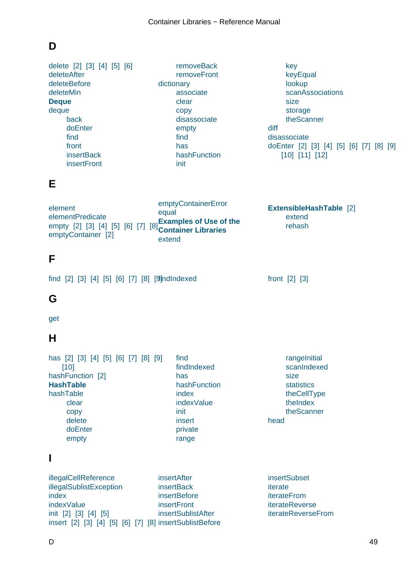## <span id="page-51-0"></span>**D**

delete [2] [3] [4] [5] [6] deleteAfter deleteBefore delete[Min](#page-25-0) **[Deque](#page-23-0)** [deque](#page-38-0) [back](#page-38-0) [doEn](#page-49-0)ter [fin](#page-7-0)d [fro](#page-47-0)nt **[inser](#page-47-0)tBack [insertFro](#page-47-0)nt** removeBack removeFront dictionary associate [clear](#page-47-0) [copy](#page-47-0) [disas](#page-33-0)sociate [empty](#page-33-0) [find](#page-33-0) [has](#page-33-0) [hashFunction](#page-34-0) [init](#page-33-0) key keyEqual lookup scanAssociations [size](#page-33-0) [storage](#page-33-0) [theSca](#page-33-0)[nner](#page-34-0) diff disas[soci](#page-33-0)[ate](#page-34-0) doEnter [2] [3] [4] [5] [6] [7] [8] [9] [10] [\[11\]](#page-34-0) [12] **E** element elementPredicate empty [2] [3] [4] [5] [6] [7] [8] **[Container Libraries](#page-21-0)** [emptyCo](#page-19-0)ntainer [2] empt[yCo](#page-33-0)ntainerError equal **Examples of Use of the** [extend](#page-20-0) **ExtensibleHashTable** [2] extend rehash **[F](#page-19-0)** find [2] [3] [4] [5] [6] [7] [8] [9]ndlndexed front [2] [3] **G** [get](#page-20-0) **H** [has](#page-35-0) [2] [3] [4] [5] [6] [7] [8] [9] [10] hashFunction [2] **HashTable** [hash](#page-20-0)[Tab](#page-25-0)[le](#page-27-0) [cle](#page-49-0)ar [copy](#page-29-0) [delete](#page-6-0) [doEnt](#page-29-0)er [empt](#page-29-0)y find findIndexed has hashFunction [inde](#page-30-0)x [indexValue](#page-30-0) [init](#page-29-0) [insert](#page-29-0) [privat](#page-29-0)e [range](#page-29-0) rangeInitial scanIndexed size statistics [theCellType](#page-29-0) [theIndex](#page-29-0) [theS](#page-29-0)[cann](#page-30-0)er head **I** illega[lCellRe](#page-29-0)ference inser[tAfter](#page-29-0) **insertSubset** 

illegalSublistException index [indexValue](#page-21-0) init [2] [3] [4] [5] [insert](#page-44-0) [2] [3] [4] [5] [6] [7] [8] [insertSublis](#page-47-0)[tB](#page-38-0)efore

**insertBack insertBefore** insertFront [insertSublis](#page-38-0)tAfter iterate iterateFrom iterateReverse [iterateRevers](#page-27-0)eFrom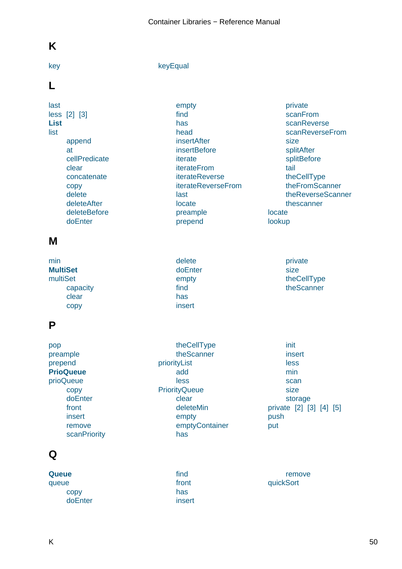## <span id="page-52-0"></span>**K**

#### key keyEqual

#### **L**

[last](#page-33-0) less [2] [3] **List** [list](#page-38-0) app[end](#page-49-0) [at](#page-42-0) cellPredicate clear [concate](#page-37-0)nate [co](#page-39-0)py [delete](#page-41-0) [delet](#page-37-0)eAfter [deleteBefore](#page-38-0) [doEn](#page-37-0)[te](#page-38-0)r

[empt](#page-33-0)y find has head [insertA](#page-37-0)fter **[inse](#page-39-0)rtBefore** [itera](#page-37-0)te [iterat](#page-37-0)eFrom [iterateReve](#page-38-0)rse [iterateRever](#page-38-0)seFrom [last](#page-40-0) [locate](#page-41-0) [preample](#page-41-0) [prepend](#page-41-0)

private scanFrom scanReverse scanReverseFrom [size](#page-41-0) [splitAfter](#page-40-0) [splitBefore](#page-40-0) tail [theC](#page-37-0)ellType [theFromS](#page-39-0)canner [theReverse](#page-39-0)Scanner [the](#page-38-0)[scanner](#page-37-0) locate looku[p](#page-40-0)

#### **M**

| delete  | private     |
|---------|-------------|
| doEnter | size        |
| empty   | theCellType |
| find    | theScanner  |
| has     |             |
| insert  |             |
|         |             |

#### **P**

pop preample prepend **PrioQueue** [prioQ](#page-46-0)ueue [copy](#page-38-0) [doE](#page-37-0)nter [front](#page-7-0) [insert](#page-48-0) [remo](#page-48-0)ve **[scanPrio](#page-48-0)rity** 

#### [theCe](#page-25-0)llType theScanner priorityList add [less](#page-48-0) **Priori[tyQueue](#page-48-0)**

[clear](#page-42-0) [dele](#page-42-0)teMin [emp](#page-42-0)ty [emptyCon](#page-49-0)tainer [has](#page-49-0)

init insert less min [sca](#page-49-0)n [size](#page-49-0) [stora](#page-49-0)ge priva[te](#page-49-0) [\[2\]](#page-49-0) [3] [4] [5] push put

#### **Q**

**Que[ue](#page-48-0)** queue copy [do](#page-7-0)Enter

[find](#page-49-0) front has [inse](#page-46-0)rt

remove quickSort